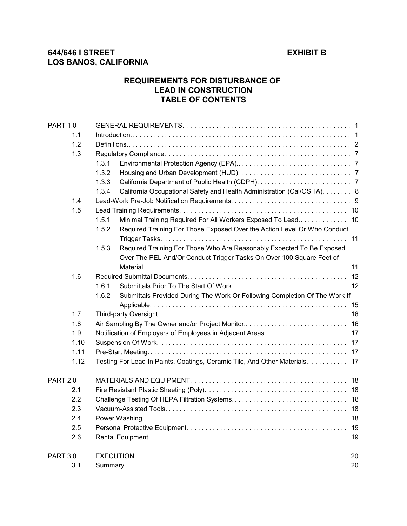# **REQUIREMENTS FOR DISTURBANCE OF LEAD IN CONSTRUCTION TABLE OF CONTENTS**

| <b>PART 1.0</b> |                                                                            |                                                                            |  |  |  |
|-----------------|----------------------------------------------------------------------------|----------------------------------------------------------------------------|--|--|--|
| 1.1             |                                                                            |                                                                            |  |  |  |
| 1.2             |                                                                            |                                                                            |  |  |  |
| 1.3             |                                                                            |                                                                            |  |  |  |
|                 | 1.3.1                                                                      |                                                                            |  |  |  |
|                 | 1.3.2                                                                      |                                                                            |  |  |  |
|                 | 1.3.3                                                                      |                                                                            |  |  |  |
|                 | 1.3.4                                                                      | California Occupational Safety and Health Administration (Cal/OSHA). 8     |  |  |  |
| 1.4             |                                                                            |                                                                            |  |  |  |
| 1.5             |                                                                            |                                                                            |  |  |  |
|                 | 1.5.1<br>Minimal Training Required For All Workers Exposed To Lead 10      |                                                                            |  |  |  |
|                 | 1.5.2                                                                      | Required Training For Those Exposed Over the Action Level Or Who Conduct   |  |  |  |
|                 |                                                                            |                                                                            |  |  |  |
|                 | 1.5.3                                                                      | Required Training For Those Who Are Reasonably Expected To Be Exposed      |  |  |  |
|                 |                                                                            | Over The PEL And/Or Conduct Trigger Tasks On Over 100 Square Feet of       |  |  |  |
|                 |                                                                            |                                                                            |  |  |  |
| 1.6             |                                                                            |                                                                            |  |  |  |
|                 | 1.6.1                                                                      |                                                                            |  |  |  |
|                 | 1.6.2                                                                      | Submittals Provided During The Work Or Following Completion Of The Work If |  |  |  |
|                 |                                                                            | 15                                                                         |  |  |  |
| 1.7             |                                                                            |                                                                            |  |  |  |
| 1.8             |                                                                            |                                                                            |  |  |  |
| 1.9             |                                                                            |                                                                            |  |  |  |
| 1.10            |                                                                            |                                                                            |  |  |  |
| 1.11            |                                                                            |                                                                            |  |  |  |
| 1.12            | Testing For Lead In Paints, Coatings, Ceramic Tile, And Other Materials 17 |                                                                            |  |  |  |
| <b>PART 2.0</b> |                                                                            |                                                                            |  |  |  |
| 2.1             |                                                                            |                                                                            |  |  |  |
| 2.2             |                                                                            |                                                                            |  |  |  |
| 2.3             |                                                                            |                                                                            |  |  |  |
| 2.4             | 18                                                                         |                                                                            |  |  |  |
| 2.5             | 19                                                                         |                                                                            |  |  |  |
| 2.6             |                                                                            | 19                                                                         |  |  |  |
| <b>PART 3.0</b> |                                                                            | 20                                                                         |  |  |  |
| 3.1             |                                                                            |                                                                            |  |  |  |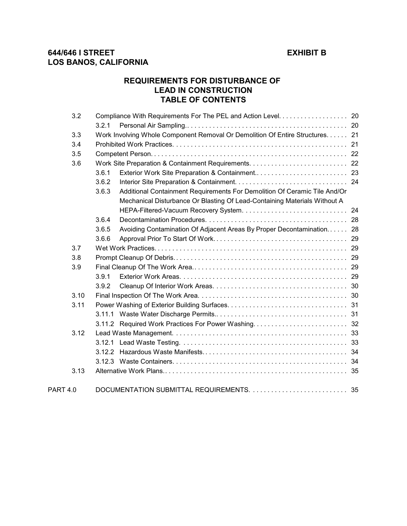# **REQUIREMENTS FOR DISTURBANCE OF LEAD IN CONSTRUCTION TABLE OF CONTENTS**

|                 | 3.2  |       |                                                                               |  |  |
|-----------------|------|-------|-------------------------------------------------------------------------------|--|--|
|                 |      | 3.2.1 |                                                                               |  |  |
|                 | 3.3  |       | Work Involving Whole Component Removal Or Demolition Of Entire Structures. 21 |  |  |
|                 | 3.4  |       |                                                                               |  |  |
|                 | 3.5  |       |                                                                               |  |  |
| 3.6             |      |       |                                                                               |  |  |
|                 |      | 3.6.1 |                                                                               |  |  |
|                 |      | 3.6.2 |                                                                               |  |  |
|                 |      | 3.6.3 | Additional Containment Requirements For Demolition Of Ceramic Tile And/Or     |  |  |
|                 |      |       | Mechanical Disturbance Or Blasting Of Lead-Containing Materials Without A     |  |  |
|                 |      |       |                                                                               |  |  |
|                 |      | 3.6.4 |                                                                               |  |  |
|                 |      | 3.6.5 | Avoiding Contamination Of Adjacent Areas By Proper Decontamination 28         |  |  |
|                 |      | 3.6.6 |                                                                               |  |  |
| 3.7             |      |       |                                                                               |  |  |
|                 | 3.8  |       |                                                                               |  |  |
| 3.9             |      |       |                                                                               |  |  |
|                 |      | 3.9.1 |                                                                               |  |  |
|                 |      | 3.9.2 |                                                                               |  |  |
| 3.10            |      |       |                                                                               |  |  |
|                 | 3.11 |       |                                                                               |  |  |
|                 |      |       |                                                                               |  |  |
|                 |      |       | 3.11.2 Required Work Practices For Power Washing 32                           |  |  |
|                 | 3.12 |       |                                                                               |  |  |
|                 |      |       |                                                                               |  |  |
|                 |      |       |                                                                               |  |  |
|                 |      |       |                                                                               |  |  |
|                 | 3.13 |       |                                                                               |  |  |
| <b>PART 4.0</b> |      |       |                                                                               |  |  |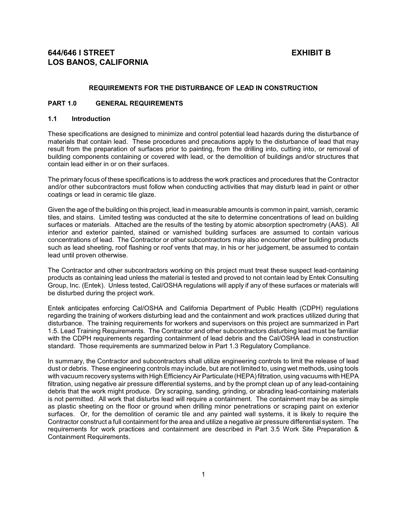### **REQUIREMENTS FOR THE DISTURBANCE OF LEAD IN CONSTRUCTION**

## **PART 1.0 GENERAL REQUIREMENTS**

## **1.1 Introduction**

These specifications are designed to minimize and control potential lead hazards during the disturbance of materials that contain lead. These procedures and precautions apply to the disturbance of lead that may result from the preparation of surfaces prior to painting, from the drilling into, cutting into, or removal of building components containing or covered with lead, or the demolition of buildings and/or structures that contain lead either in or on their surfaces.

The primary focus of these specifications is to address the work practices and procedures that the Contractor and/or other subcontractors must follow when conducting activities that may disturb lead in paint or other coatings or lead in ceramic tile glaze.

Given the age of the building on this project, lead in measurable amounts is common in paint, varnish, ceramic tiles, and stains. Limited testing was conducted at the site to determine concentrations of lead on building surfaces or materials. Attached are the results of the testing by atomic absorption spectrometry (AAS). All interior and exterior painted, stained or varnished building surfaces are assumed to contain various concentrations of lead. The Contractor or other subcontractors may also encounter other building products such as lead sheeting, roof flashing or roof vents that may, in his or her judgement, be assumed to contain lead until proven otherwise.

The Contractor and other subcontractors working on this project must treat these suspect lead-containing products as containing lead unless the material is tested and proved to not contain lead by Entek Consulting Group, Inc. (Entek). Unless tested, Cal/OSHA regulations will apply if any of these surfaces or materials will be disturbed during the project work.

Entek anticipates enforcing Cal/OSHA and California Department of Public Health (CDPH) regulations regarding the training of workers disturbing lead and the containment and work practices utilized during that disturbance. The training requirements for workers and supervisors on this project are summarized in Part 1.5. Lead Training Requirements. The Contractor and other subcontractors disturbing lead must be familiar with the CDPH requirements regarding containment of lead debris and the Cal/OSHA lead in construction standard. Those requirements are summarized below in Part 1.3 Regulatory Compliance.

In summary, the Contractor and subcontractors shall utilize engineering controls to limit the release of lead dust or debris. These engineering controls may include, but are not limited to, using wet methods, using tools with vacuum recovery systems with High Efficiency Air Particulate (HEPA) filtration, using vacuums with HEPA filtration, using negative air pressure differential systems, and by the prompt clean up of any lead-containing debris that the work might produce. Dry scraping, sanding, grinding, or abrading lead-containing materials is not permitted. All work that disturbs lead will require a containment. The containment may be as simple as plastic sheeting on the floor or ground when drilling minor penetrations or scraping paint on exterior surfaces. Or, for the demolition of ceramic tile and any painted wall systems, it is likely to require the Contractor construct a full containment for the area and utilize a negative air pressure differential system. The requirements for work practices and containment are described in Part 3.5 Work Site Preparation & Containment Requirements.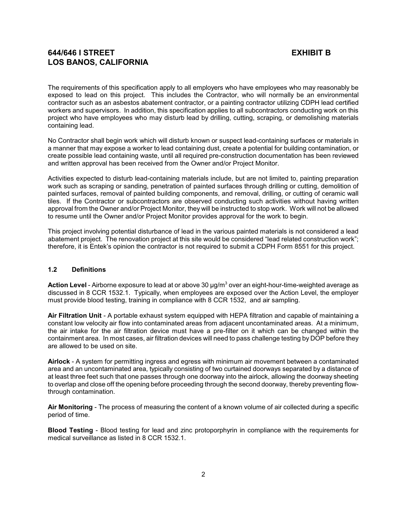The requirements of this specification apply to all employers who have employees who may reasonably be exposed to lead on this project. This includes the Contractor, who will normally be an environmental contractor such as an asbestos abatement contractor, or a painting contractor utilizing CDPH lead certified workers and supervisors. In addition, this specification applies to all subcontractors conducting work on this project who have employees who may disturb lead by drilling, cutting, scraping, or demolishing materials containing lead.

No Contractor shall begin work which will disturb known or suspect lead-containing surfaces or materials in a manner that may expose a worker to lead containing dust, create a potential for building contamination, or create possible lead containing waste, until all required pre-construction documentation has been reviewed and written approval has been received from the Owner and/or Project Monitor.

Activities expected to disturb lead-containing materials include, but are not limited to, painting preparation work such as scraping or sanding, penetration of painted surfaces through drilling or cutting, demolition of painted surfaces, removal of painted building components, and removal, drilling, or cutting of ceramic wall tiles. If the Contractor or subcontractors are observed conducting such activities without having written approval from the Owner and/or Project Monitor, they will be instructed to stop work. Work will not be allowed to resume until the Owner and/or Project Monitor provides approval for the work to begin.

This project involving potential disturbance of lead in the various painted materials is not considered a lead abatement project. The renovation project at this site would be considered "lead related construction work"; therefore, it is Entek's opinion the contractor is not required to submit a CDPH Form 8551 for this project.

## **1.2 Definitions**

**Action Level** - Airborne exposure to lead at or above 30 µg/m $^3$  over an eight-hour-time-weighted average as discussed in 8 CCR 1532.1. Typically, when employees are exposed over the Action Level, the employer must provide blood testing, training in compliance with 8 CCR 1532, and air sampling.

**Air Filtration Unit** - A portable exhaust system equipped with HEPA filtration and capable of maintaining a constant low velocity air flow into contaminated areas from adjacent uncontaminated areas. At a minimum, the air intake for the air filtration device must have a pre-filter on it which can be changed within the containment area. In most cases, air filtration devices will need to pass challenge testing by DOP before they are allowed to be used on site.

**Airlock** - A system for permitting ingress and egress with minimum air movement between a contaminated area and an uncontaminated area, typically consisting of two curtained doorways separated by a distance of at least three feet such that one passes through one doorway into the airlock, allowing the doorway sheeting to overlap and close off the opening before proceeding through the second doorway, thereby preventing flowthrough contamination.

**Air Monitoring** - The process of measuring the content of a known volume of air collected during a specific period of time.

**Blood Testing** - Blood testing for lead and zinc protoporphyrin in compliance with the requirements for medical surveillance as listed in 8 CCR 1532.1.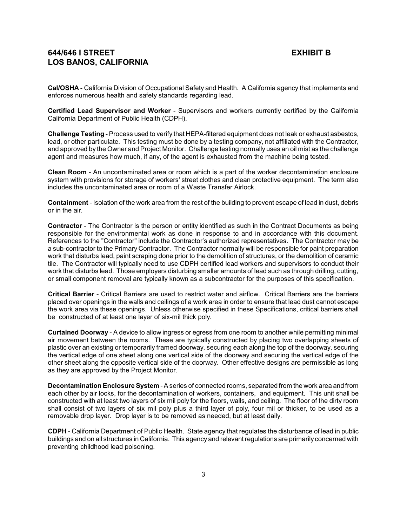**Cal/OSHA** - California Division of Occupational Safety and Health. A California agency that implements and enforces numerous health and safety standards regarding lead.

**Certified Lead Supervisor and Worker** - Supervisors and workers currently certified by the California California Department of Public Health (CDPH).

**Challenge Testing** - Process used to verify that HEPA-filtered equipment does not leak or exhaust asbestos, lead, or other particulate. This testing must be done by a testing company, not affiliated with the Contractor, and approved by the Owner and Project Monitor. Challenge testing normally uses an oil mist as the challenge agent and measures how much, if any, of the agent is exhausted from the machine being tested.

**Clean Room** - An uncontaminated area or room which is a part of the worker decontamination enclosure system with provisions for storage of workers' street clothes and clean protective equipment. The term also includes the uncontaminated area or room of a Waste Transfer Airlock.

**Containment** - Isolation of the work area from the rest of the building to prevent escape of lead in dust, debris or in the air.

**Contractor** - The Contractor is the person or entity identified as such in the Contract Documents as being responsible for the environmental work as done in response to and in accordance with this document. References to the "Contractor" include the Contractor's authorized representatives. The Contractor may be a sub-contractor to the Primary Contractor. The Contractor normally will be responsible for paint preparation work that disturbs lead, paint scraping done prior to the demolition of structures, or the demolition of ceramic tile. The Contractor will typically need to use CDPH certified lead workers and supervisors to conduct their work that disturbs lead. Those employers disturbing smaller amounts of lead such as through drilling, cutting, or small component removal are typically known as a subcontractor for the purposes of this specification.

**Critical Barrier** - Critical Barriers are used to restrict water and airflow. Critical Barriers are the barriers placed over openings in the walls and ceilings of a work area in order to ensure that lead dust cannot escape the work area via these openings. Unless otherwise specified in these Specifications, critical barriers shall be constructed of at least one layer of six-mil thick poly.

**Curtained Doorway** - A device to allow ingress or egress from one room to another while permitting minimal air movement between the rooms. These are typically constructed by placing two overlapping sheets of plastic over an existing or temporarily framed doorway, securing each along the top of the doorway, securing the vertical edge of one sheet along one vertical side of the doorway and securing the vertical edge of the other sheet along the opposite vertical side of the doorway. Other effective designs are permissible as long as they are approved by the Project Monitor.

**Decontamination Enclosure System** - A series of connected rooms, separated from the work area and from each other by air locks, for the decontamination of workers, containers, and equipment. This unit shall be constructed with at least two layers of six mil poly for the floors, walls, and ceiling. The floor of the dirty room shall consist of two layers of six mil poly plus a third layer of poly, four mil or thicker, to be used as a removable drop layer. Drop layer is to be removed as needed, but at least daily.

**CDPH** - California Department of Public Health. State agency that regulates the disturbance of lead in public buildings and on all structures in California. This agency and relevant regulations are primarily concerned with preventing childhood lead poisoning.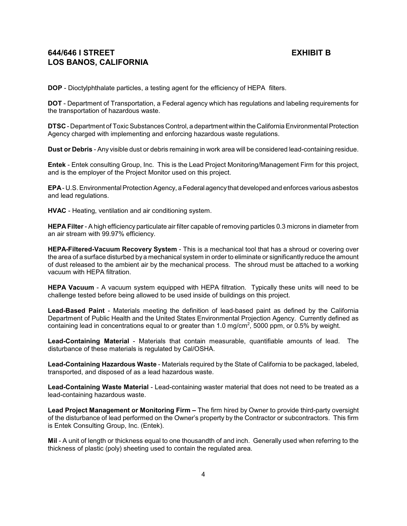**DOP** - Dioctylphthalate particles, a testing agent for the efficiency of HEPA filters.

**DOT** - Department of Transportation, a Federal agency which has regulations and labeling requirements for the transportation of hazardous waste.

**DTSC** - Department of Toxic Substances Control, a department within the California Environmental Protection Agency charged with implementing and enforcing hazardous waste regulations.

**Dust or Debris** - Any visible dust or debris remaining in work area will be considered lead-containing residue.

**Entek** - Entek consulting Group, Inc. This is the Lead Project Monitoring/Management Firm for this project, and is the employer of the Project Monitor used on this project.

**EPA** - U.S. Environmental Protection Agency, a Federal agency that developed and enforces various asbestos and lead regulations.

**HVAC** - Heating, ventilation and air conditioning system.

**HEPA Filter**- A high efficiency particulate air filter capable of removing particles 0.3 microns in diameter from an air stream with 99.97% efficiency.

**HEPA-Filtered-Vacuum Recovery System** - This is a mechanical tool that has a shroud or covering over the area of a surface disturbed by a mechanical system in order to eliminate or significantly reduce the amount of dust released to the ambient air by the mechanical process. The shroud must be attached to a working vacuum with HEPA filtration.

**HEPA Vacuum** - A vacuum system equipped with HEPA filtration. Typically these units will need to be challenge tested before being allowed to be used inside of buildings on this project.

**Lead-Based Paint** - Materials meeting the definition of lead-based paint as defined by the California Department of Public Health and the United States Environmental Projection Agency. Currently defined as containing lead in concentrations equal to or greater than 1.0 mg/cm<sup>2</sup>, 5000 ppm, or 0.5% by weight.

**Lead-Containing Material** - Materials that contain measurable, quantifiable amounts of lead. The disturbance of these materials is regulated by Cal/OSHA.

**Lead-Containing Hazardous Waste** - Materials required by the State of California to be packaged, labeled, transported, and disposed of as a lead hazardous waste.

**Lead-Containing Waste Material** - Lead-containing waster material that does not need to be treated as a lead-containing hazardous waste.

**Lead Project Management or Monitoring Firm –** The firm hired by Owner to provide third-party oversight of the disturbance of lead performed on the Owner's property by the Contractor or subcontractors. This firm is Entek Consulting Group, Inc. (Entek).

**Mil** - A unit of length or thickness equal to one thousandth of and inch. Generally used when referring to the thickness of plastic (poly) sheeting used to contain the regulated area.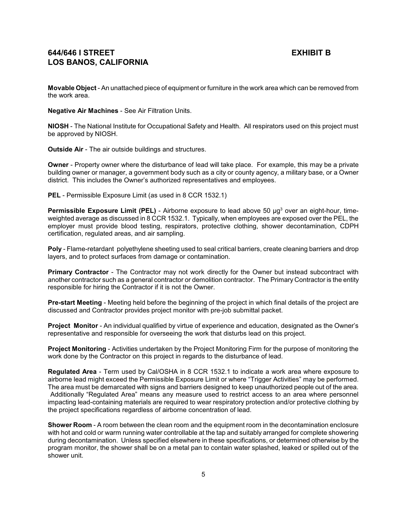**Movable Object** - An unattached piece of equipment or furniture in the work area which can be removed from the work area.

**Negative Air Machines** - See Air Filtration Units.

**NIOSH** - The National Institute for Occupational Safety and Health. All respirators used on this project must be approved by NIOSH.

**Outside Air** - The air outside buildings and structures.

**Owner** - Property owner where the disturbance of lead will take place. For example, this may be a private building owner or manager, a government body such as a city or county agency, a military base, or a Owner district. This includes the Owner's authorized representatives and employees.

**PEL** - Permissible Exposure Limit (as used in 8 CCR 1532.1)

Permissible Exposure Limit (PEL) - Airborne exposure to lead above 50 µg<sup>3</sup> over an eight-hour, timeweighted average as discussed in 8 CCR 1532.1. Typically, when employees are exposed over the PEL, the employer must provide blood testing, respirators, protective clothing, shower decontamination, CDPH certification, regulated areas, and air sampling.

**Poly** - Flame-retardant polyethylene sheeting used to seal critical barriers, create cleaning barriers and drop layers, and to protect surfaces from damage or contamination.

**Primary Contractor** - The Contractor may not work directly for the Owner but instead subcontract with another contractor such as a general contractor or demolition contractor. The Primary Contractor is the entity responsible for hiring the Contractor if it is not the Owner.

**Pre-start Meeting** - Meeting held before the beginning of the project in which final details of the project are discussed and Contractor provides project monitor with pre-job submittal packet.

**Project Monitor** - An individual qualified by virtue of experience and education, designated as the Owner's representative and responsible for overseeing the work that disturbs lead on this project.

**Project Monitoring** - Activities undertaken by the Project Monitoring Firm for the purpose of monitoring the work done by the Contractor on this project in regards to the disturbance of lead.

**Regulated Area** - Term used by Cal/OSHA in 8 CCR 1532.1 to indicate a work area where exposure to airborne lead might exceed the Permissible Exposure Limit or where "Trigger Activities" may be performed. The area must be demarcated with signs and barriers designed to keep unauthorized people out of the area. Additionally "Regulated Area" means any measure used to restrict access to an area where personnel impacting lead-containing materials are required to wear respiratory protection and/or protective clothing by the project specifications regardless of airborne concentration of lead.

**Shower Room** - A room between the clean room and the equipment room in the decontamination enclosure with hot and cold or warm running water controllable at the tap and suitably arranged for complete showering during decontamination. Unless specified elsewhere in these specifications, or determined otherwise by the program monitor, the shower shall be on a metal pan to contain water splashed, leaked or spilled out of the shower unit.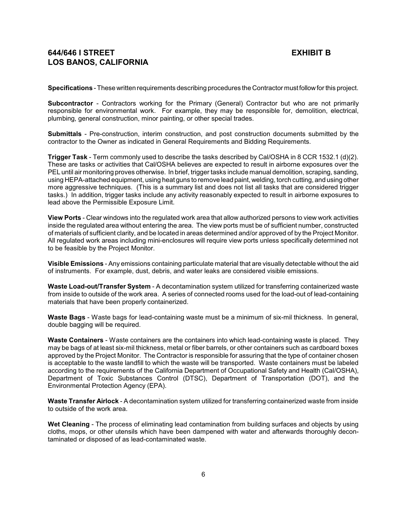**Specifications** - These written requirements describing procedures the Contractor must followfor this project.

**Subcontractor** - Contractors working for the Primary (General) Contractor but who are not primarily responsible for environmental work. For example, they may be responsible for, demolition, electrical, plumbing, general construction, minor painting, or other special trades.

**Submittals** - Pre-construction, interim construction, and post construction documents submitted by the contractor to the Owner as indicated in General Requirements and Bidding Requirements.

**Trigger Task** - Term commonly used to describe the tasks described by Cal/OSHA in 8 CCR 1532.1 (d)(2). These are tasks or activities that Cal/OSHA believes are expected to result in airborne exposures over the PEL until air monitoring proves otherwise. In brief, trigger tasks include manual demolition, scraping, sanding, using HEPA-attached equipment, using heat guns to remove lead paint, welding, torch cutting, and using other more aggressive techniques. (This is a summary list and does not list all tasks that are considered trigger tasks.) In addition, trigger tasks include any activity reasonably expected to result in airborne exposures to lead above the Permissible Exposure Limit.

**View Ports** - Clear windows into the regulated work area that allow authorized persons to view work activities inside the regulated area without entering the area. The view ports must be of sufficient number, constructed of materials of sufficient clarity, and be located in areas determined and/or approved of by the Project Monitor. All regulated work areas including mini-enclosures will require view ports unless specifically determined not to be feasible by the Project Monitor.

**Visible Emissions** - Any emissions containing particulate material that are visually detectable without the aid of instruments. For example, dust, debris, and water leaks are considered visible emissions.

**Waste Load-out/Transfer System** - A decontamination system utilized for transferring containerized waste from inside to outside of the work area. A series of connected rooms used for the load-out of lead-containing materials that have been properly containerized.

**Waste Bags** - Waste bags for lead-containing waste must be a minimum of six-mil thickness. In general, double bagging will be required.

**Waste Containers** - Waste containers are the containers into which lead-containing waste is placed. They may be bags of at least six-mil thickness, metal or fiber barrels, or other containers such as cardboard boxes approved by the Project Monitor. The Contractor is responsible for assuring that the type of container chosen is acceptable to the waste landfill to which the waste will be transported. Waste containers must be labeled according to the requirements of the California Department of Occupational Safety and Health (Cal/OSHA), Department of Toxic Substances Control (DTSC), Department of Transportation (DOT), and the Environmental Protection Agency (EPA).

**Waste Transfer Airlock** - A decontamination system utilized for transferring containerized waste from inside to outside of the work area.

**Wet Cleaning** - The process of eliminating lead contamination from building surfaces and objects by using cloths, mops, or other utensils which have been dampened with water and afterwards thoroughly decontaminated or disposed of as lead-contaminated waste.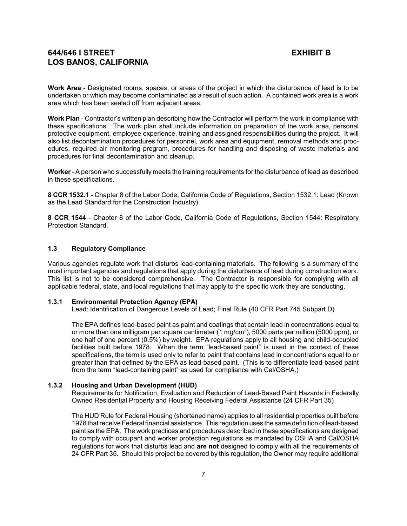**Work Area** - Designated rooms, spaces, or areas of the project in which the disturbance of lead is to be undertaken or which may become contaminated as a result of such action. A contained work area is a work area which has been sealed off from adjacent areas.

**Work Plan** - Contractor's written plan describing how the Contractor will perform the work in compliance with these specifications. The work plan shall include information on preparation of the work area, personal protective equipment, employee experience, training and assigned responsibilities during the project. It will also list decontamination procedures for personnel, work area and equipment, removal methods and procedures, required air monitoring program, procedures for handling and disposing of waste materials and procedures for final decontamination and cleanup.

**Worker**- A person who successfully meets the training requirements for the disturbance of lead as described in these specifications.

**8 CCR 1532.1** - Chapter 8 of the Labor Code, California Code of Regulations, Section 1532.1: Lead (Known as the Lead Standard for the Construction Industry)

**8 CCR 1544** - Chapter 8 of the Labor Code, California Code of Regulations, Section 1544: Respiratory Protection Standard.

## **1.3 Regulatory Compliance**

Various agencies regulate work that disturbs lead-containing materials. The following is a summary of the most important agencies and regulations that apply during the disturbance of lead during construction work. This list is not to be considered comprehensive. The Contractor is responsible for complying with all applicable federal, state, and local regulations that may apply to the specific work they are conducting.

#### **1.3.1 Environmental Protection Agency (EPA)**

Lead: Identification of Dangerous Levels of Lead; Final Rule (40 CFR Part 745 Subpart D)

The EPA defines lead-based paint as paint and coatings that contain lead in concentrations equal to or more than one milligram per square centimeter (1 mg/cm $^2$ ), 5000 parts per million (5000 ppm), or one half of one percent (0.5%) by weight. EPA regulations apply to all housing and child-occupied facilities built before 1978. When the term "lead-based paint" is used in the context of these specifications, the term is used only to refer to paint that contains lead in concentrations equal to or greater than that defined by the EPA as lead-based paint. (This is to differentiate lead-based paint from the term "lead-containing paint" as used for compliance with Cal/OSHA.)

#### **1.3.2 Housing and Urban Development (HUD)**

Requirements for Notification, Evaluation and Reduction of Lead-Based Paint Hazards in Federally Owned Residential Property and Housing Receiving Federal Assistance (24 CFR Part 35)

The HUD Rule for Federal Housing (shortened name) applies to all residential properties built before 1978 that receive Federal financial assistance. This regulation uses the same definition of lead-based paint as the EPA. The work practices and procedures described in these specifications are designed to comply with occupant and worker protection regulations as mandated by OSHA and Cal/OSHA regulations for work that disturbs lead and **are not** designed to comply with all the requirements of 24 CFR Part 35. Should this project be covered by this regulation, the Owner may require additional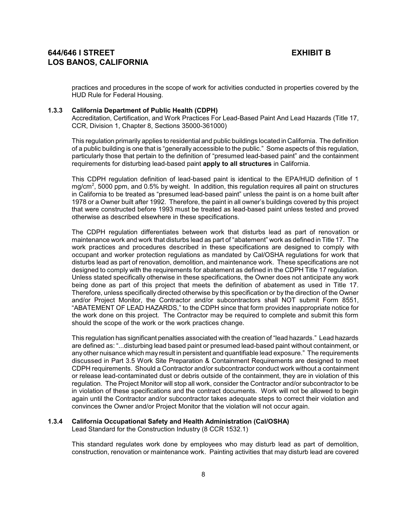practices and procedures in the scope of work for activities conducted in properties covered by the HUD Rule for Federal Housing.

### **1.3.3 California Department of Public Health (CDPH)**

Accreditation, Certification, and Work Practices For Lead-Based Paint And Lead Hazards (Title 17, CCR, Division 1, Chapter 8, Sections 35000-361000)

This regulation primarily applies to residential and public buildings located in California. The definition of a public building is one that is "generally accessible to the public." Some aspects of this regulation, particularly those that pertain to the definition of "presumed lead-based paint" and the containment requirements for disturbing lead-based paint **apply to all structures** in California.

This CDPH regulation definition of lead-based paint is identical to the EPA/HUD definition of 1 mg/cm<sup>2</sup>, 5000 ppm, and 0.5% by weight. In addition, this regulation requires all paint on structures in California to be treated as "presumed lead-based paint" unless the paint is on a home built after 1978 or a Owner built after 1992. Therefore, the paint in all owner's buildings covered by this project that were constructed before 1993 must be treated as lead-based paint unless tested and proved otherwise as described elsewhere in these specifications.

The CDPH regulation differentiates between work that disturbs lead as part of renovation or maintenance work and work that disturbs lead as part of "abatement" work as defined in Title 17. The work practices and procedures described in these specifications are designed to comply with occupant and worker protection regulations as mandated by Cal/OSHA regulations for work that disturbs lead as part of renovation, demolition, and maintenance work. These specifications are not designed to comply with the requirements for abatement as defined in the CDPH Title 17 regulation. Unless stated specifically otherwise in these specifications, the Owner does not anticipate any work being done as part of this project that meets the definition of abatement as used in Title 17. Therefore, unless specifically directed otherwise by this specification or by the direction of the Owner and/or Project Monitor, the Contractor and/or subcontractors shall NOT submit Form 8551, "ABATEMENT OF LEAD HAZARDS," to the CDPH since that form provides inappropriate notice for the work done on this project. The Contractor may be required to complete and submit this form should the scope of the work or the work practices change.

This regulation has significant penalties associated with the creation of "lead hazards." Lead hazards are defined as: "...disturbing lead based paint or presumed lead-based paint without containment, or any other nuisance which may result in persistent and quantifiable lead exposure." The requirements discussed in Part 3.5 Work Site Preparation & Containment Requirements are designed to meet CDPH requirements. Should a Contractor and/or subcontractor conduct work without a containment or release lead-contaminated dust or debris outside of the containment, they are in violation of this regulation. The Project Monitor will stop all work, consider the Contractor and/or subcontractor to be in violation of these specifications and the contract documents. Work will not be allowed to begin again until the Contractor and/or subcontractor takes adequate steps to correct their violation and convinces the Owner and/or Project Monitor that the violation will not occur again.

### **1.3.4 California Occupational Safety and Health Administration (Cal/OSHA)**

Lead Standard for the Construction Industry (8 CCR 1532.1)

This standard regulates work done by employees who may disturb lead as part of demolition, construction, renovation or maintenance work. Painting activities that may disturb lead are covered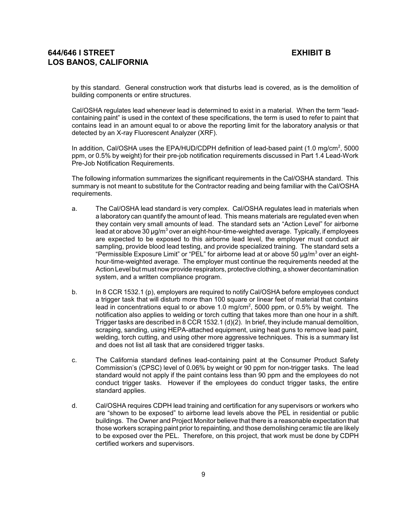by this standard. General construction work that disturbs lead is covered, as is the demolition of building components or entire structures.

Cal/OSHA regulates lead whenever lead is determined to exist in a material. When the term "leadcontaining paint" is used in the context of these specifications, the term is used to refer to paint that contains lead in an amount equal to or above the reporting limit for the laboratory analysis or that detected by an X-ray Fluorescent Analyzer (XRF).

In addition, Cal/OSHA uses the EPA/HUD/CDPH definition of lead-based paint (1.0 mg/cm<sup>2</sup>, 5000 ppm, or 0.5% by weight) for their pre-job notification requirements discussed in Part 1.4 Lead-Work Pre-Job Notification Requirements.

The following information summarizes the significant requirements in the Cal/OSHA standard. This summary is not meant to substitute for the Contractor reading and being familiar with the Cal/OSHA requirements.

- a. The Cal/OSHA lead standard is very complex. Cal/OSHA regulates lead in materials when a laboratory can quantify the amount of lead. This means materials are regulated even when they contain very small amounts of lead. The standard sets an "Action Level" for airborne lead at or above 30  $\mu$ g/m $^3$  over an eight-hour-time-weighted average. Typically, if employees are expected to be exposed to this airborne lead level, the employer must conduct air sampling, provide blood lead testing, and provide specialized training. The standard sets a "Permissible Exposure Limit" or "PEL" for airborne lead at or above 50  $\mu$ g/m $^3$  over an eighthour-time-weighted average. The employer must continue the requirements needed at the Action Level but must now provide respirators, protective clothing, a shower decontamination system, and a written compliance program.
- b. In 8 CCR 1532.1 (p), employers are required to notify Cal/OSHA before employees conduct a trigger task that will disturb more than 100 square or linear feet of material that contains lead in concentrations equal to or above 1.0 mg/cm<sup>2</sup>, 5000 ppm, or 0.5% by weight. The notification also applies to welding or torch cutting that takes more than one hour in a shift. Trigger tasks are described in 8 CCR 1532.1 (d)(2). In brief, they include manual demolition, scraping, sanding, using HEPA-attached equipment, using heat guns to remove lead paint, welding, torch cutting, and using other more aggressive techniques. This is a summary list and does not list all task that are considered trigger tasks.
- c. The California standard defines lead-containing paint at the Consumer Product Safety Commission's (CPSC) level of 0.06% by weight or 90 ppm for non-trigger tasks. The lead standard would not apply if the paint contains less than 90 ppm and the employees do not conduct trigger tasks. However if the employees do conduct trigger tasks, the entire standard applies.
- d. Cal/OSHA requires CDPH lead training and certification for any supervisors or workers who are "shown to be exposed" to airborne lead levels above the PEL in residential or public buildings. The Owner and Project Monitor believe that there is a reasonable expectation that those workers scraping paint prior to repainting, and those demolishing ceramic tile are likely to be exposed over the PEL. Therefore, on this project, that work must be done by CDPH certified workers and supervisors.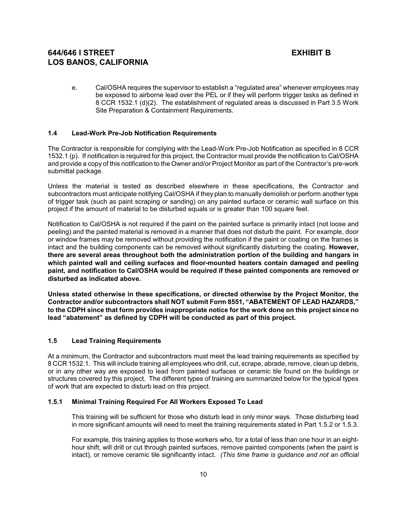e. Cal/OSHA requires the supervisor to establish a "regulated area" whenever employees may be exposed to airborne lead over the PEL or if they will perform trigger tasks as defined in 8 CCR 1532.1 (d)(2). The establishment of regulated areas is discussed in Part 3.5 Work Site Preparation & Containment Requirements.

## **1.4 Lead-Work Pre-Job Notification Requirements**

The Contractor is responsible for complying with the Lead-Work Pre-Job Notification as specified in 8 CCR 1532.1 (p). If notification is required for this project, the Contractor must provide the notification to Cal/OSHA and provide a copy of this notification to the Owner and/or Project Monitor as part of the Contractor's pre-work submittal package.

Unless the material is tested as described elsewhere in these specifications, the Contractor and subcontractors must anticipate notifying Cal/OSHA if they plan to manually demolish or perform another type of trigger task (such as paint scraping or sanding) on any painted surface or ceramic wall surface on this project if the amount of material to be disturbed equals or is greater than 100 square feet.

Notification to Cal/OSHA is not required if the paint on the painted surface is primarily intact (not loose and peeling) and the painted material is removed in a manner that does not disturb the paint. For example, door or window frames may be removed without providing the notification if the paint or coating on the frames is intact and the building components can be removed without significantly disturbing the coating. **However, there are several areas throughout both the administration portion of the building and hangars in which painted wall and ceiling surfaces and floor-mounted heaters contain damaged and peeling paint, and notification to Cal/OSHA would be required if these painted components are removed or disturbed as indicated above.**

**Unless stated otherwise in these specifications, or directed otherwise by the Project Monitor, the Contractor and/or subcontractors shall NOT submit Form 8551, "ABATEMENT OF LEAD HAZARDS," to the CDPH since that form provides inappropriate notice for the work done on this project since no lead "abatement" as defined by CDPH will be conducted as part of this project.**

### **1.5 Lead Training Requirements**

At a minimum, the Contractor and subcontractors must meet the lead training requirements as specified by 8 CCR 1532.1. This will include training all employees who drill, cut, scrape, abrade, remove, clean up debris, or in any other way are exposed to lead from painted surfaces or ceramic tile found on the buildings or structures covered by this project. The different types of training are summarized below for the typical types of work that are expected to disturb lead on this project.

### **1.5.1 Minimal Training Required For All Workers Exposed To Lead**

This training will be sufficient for those who disturb lead in only minor ways. Those disturbing lead in more significant amounts will need to meet the training requirements stated in Part 1.5.2 or 1.5.3.

For example, this training applies to those workers who, for a total of less than one hour in an eighthour shift, will drill or cut through painted surfaces, remove painted components (when the paint is intact), or remove ceramic tile significantly intact. *(This time frame is guidance and not an official*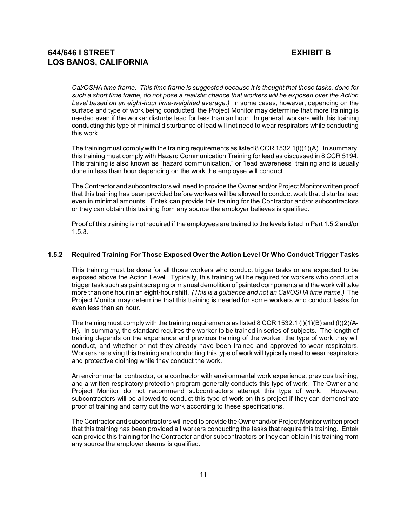*Cal/OSHA time frame. This time frame is suggested because it is thought that these tasks, done for such a short time frame, do not pose a realistic chance that workers will be exposed over the Action Level based on an eight-hour time-weighted average.)* In some cases, however, depending on the surface and type of work being conducted, the Project Monitor may determine that more training is needed even if the worker disturbs lead for less than an hour. In general, workers with this training conducting this type of minimal disturbance of lead will not need to wear respirators while conducting this work.

The training must complywith the training requirements as listed 8 CCR 1532.1(l)(1)(A). In summary, this training must comply with Hazard Communication Training for lead as discussed in 8 CCR 5194. This training is also known as "hazard communication," or "lead awareness" training and is usually done in less than hour depending on the work the employee will conduct.

The Contractor and subcontractors will need to provide the Owner and/or Project Monitor written proof that this training has been provided before workers will be allowed to conduct work that disturbs lead even in minimal amounts. Entek can provide this training for the Contractor and/or subcontractors or they can obtain this training from any source the employer believes is qualified.

Proof of this training is not required if the employees are trained to the levels listed in Part 1.5.2 and/or 1.5.3.

#### **1.5.2 Required Training For Those Exposed Over the Action Level Or Who Conduct Trigger Tasks**

This training must be done for all those workers who conduct trigger tasks or are expected to be exposed above the Action Level. Typically, this training will be required for workers who conduct a trigger task such as paint scraping or manual demolition of painted components and the work will take more than one hour in an eight-hour shift. *(This is a guidance and not an Cal/OSHA time frame.)* The Project Monitor may determine that this training is needed for some workers who conduct tasks for even less than an hour.

The training must comply with the training requirements as listed 8 CCR 1532.1 (I)(1)(B) and (I)(2)(A-H). In summary, the standard requires the worker to be trained in series of subjects. The length of training depends on the experience and previous training of the worker, the type of work they will conduct, and whether or not they already have been trained and approved to wear respirators. Workers receiving this training and conducting this type of work will typically need to wear respirators and protective clothing while they conduct the work.

An environmental contractor, or a contractor with environmental work experience, previous training, and a written respiratory protection program generally conducts this type of work. The Owner and Project Monitor do not recommend subcontractors attempt this type of work. However, subcontractors will be allowed to conduct this type of work on this project if they can demonstrate proof of training and carry out the work according to these specifications.

The Contractor and subcontractors will need to provide the Owner and/or Project Monitor written proof that this training has been provided all workers conducting the tasks that require this training. Entek can provide this training for the Contractor and/or subcontractors or they can obtain this training from any source the employer deems is qualified.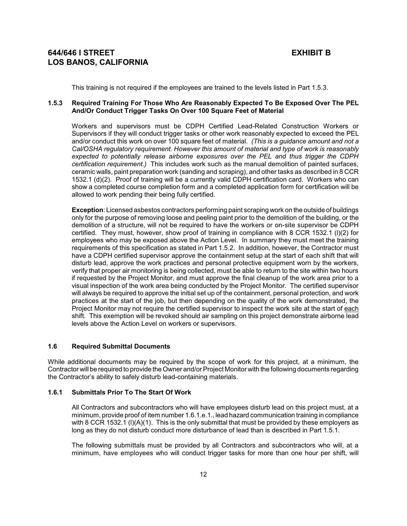This training is not required if the employees are trained to the levels listed in Part 1.5.3.

## **1.5.3 Required Training For Those Who Are Reasonably Expected To Be Exposed Over The PEL And/Or Conduct Trigger Tasks On Over 100 Square Feet of Material**

Workers and supervisors must be CDPH Certified Lead-Related Construction Workers or Supervisors if they will conduct trigger tasks or other work reasonably expected to exceed the PEL and/or conduct this work on over 100 square feet of material. *(This is a guidance amount and not a Cal/OSHA regulatory requirement. However this amount of material and type of work is reasonably expected to potentially release airborne exposures over the PEL and thus trigger the CDPH certification requirement.)* This includes work such as the manual demolition of painted surfaces, ceramic walls, paint preparation work (sanding and scraping), and other tasks as described in 8 CCR 1532.1 (d)(2). Proof of training will be a currently valid CDPH certification card. Workers who can show a completed course completion form and a completed application form for certification will be allowed to work pending their being fully certified.

**Exception**: Licensed asbestos contractors performing paint scraping work on the outside of buildings only for the purpose of removing loose and peeling paint prior to the demolition of the building, or the demolition of a structure, will not be required to have the workers or on-site supervisor be CDPH certified. They must, however, show proof of training in compliance with 8 CCR 1532.1 (l)(2) for employees who may be exposed above the Action Level. In summary they must meet the training requirements of this specification as stated in Part 1.5.2. In addition, however, the Contractor must have a CDPH certified supervisor approve the containment setup at the start of each shift that will disturb lead, approve the work practices and personal protective equipment worn by the workers, verify that proper air monitoring is being collected, must be able to return to the site within two hours if requested by the Project Monitor, and must approve the final cleanup of the work area prior to a visual inspection of the work area being conducted by the Project Monitor. The certified supervisor will always be required to approve the initial set up of the containment, personal protection, and work practices at the start of the job, but then depending on the quality of the work demonstrated, the Project Monitor may not require the certified supervisor to inspect the work site at the start of each shift. This exemption will be revoked should air sampling on this project demonstrate airborne lead levels above the Action Level on workers or supervisors.

#### **1.6 Required Submittal Documents**

While additional documents may be required by the scope of work for this project, at a minimum, the Contractor will be required to provide the Owner and/or Project Monitor with the following documents regarding the Contractor's ability to safely disturb lead-containing materials.

## **1.6.1 Submittals Prior To The Start Of Work**

All Contractors and subcontractors who will have employees disturb lead on this project must, at a minimum, provide proof of item number 1.6.1.e.1., lead hazard communication training in compliance with 8 CCR 1532.1 (I)(A)(1). This is the only submittal that must be provided by these employers as long as they do not disturb conduct more disturbance of lead than is described in Part 1.5.1.

The following submittals must be provided by all Contractors and subcontractors who will, at a minimum, have employees who will conduct trigger tasks for more than one hour per shift, will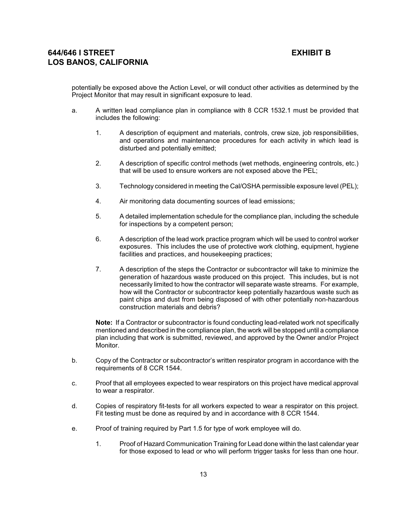potentially be exposed above the Action Level, or will conduct other activities as determined by the Project Monitor that may result in significant exposure to lead.

- a. A written lead compliance plan in compliance with 8 CCR 1532.1 must be provided that includes the following:
	- 1. A description of equipment and materials, controls, crew size, job responsibilities, and operations and maintenance procedures for each activity in which lead is disturbed and potentially emitted;
	- 2. A description of specific control methods (wet methods, engineering controls, etc.) that will be used to ensure workers are not exposed above the PEL;
	- 3. Technology considered in meeting the Cal/OSHA permissible exposure level (PEL);
	- 4. Air monitoring data documenting sources of lead emissions;
	- 5. A detailed implementation schedule for the compliance plan, including the schedule for inspections by a competent person;
	- 6. A description of the lead work practice program which will be used to control worker exposures. This includes the use of protective work clothing, equipment, hygiene facilities and practices, and housekeeping practices;
	- 7. A description of the steps the Contractor or subcontractor will take to minimize the generation of hazardous waste produced on this project. This includes, but is not necessarily limited to how the contractor will separate waste streams. For example, how will the Contractor or subcontractor keep potentially hazardous waste such as paint chips and dust from being disposed of with other potentially non-hazardous construction materials and debris?

**Note:** If a Contractor or subcontractor is found conducting lead-related work not specifically mentioned and described in the compliance plan, the work will be stopped until a compliance plan including that work is submitted, reviewed, and approved by the Owner and/or Project Monitor.

- b. Copy of the Contractor or subcontractor's written respirator program in accordance with the requirements of 8 CCR 1544.
- c. Proof that all employees expected to wear respirators on this project have medical approval to wear a respirator.
- d. Copies of respiratory fit-tests for all workers expected to wear a respirator on this project. Fit testing must be done as required by and in accordance with 8 CCR 1544.
- e. Proof of training required by Part 1.5 for type of work employee will do.
	- 1. Proof of Hazard Communication Training for Lead done within the last calendar year for those exposed to lead or who will perform trigger tasks for less than one hour.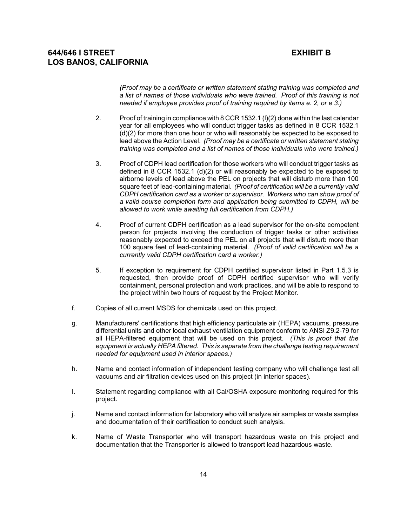*(Proof may be a certificate or written statement stating training was completed and a list of names of those individuals who were trained. Proof of this training is not needed if employee provides proof of training required by items e. 2, or e 3.)*

- 2. Proof of training in compliance with 8 CCR 1532.1 (l)(2) done within the last calendar year for all employees who will conduct trigger tasks as defined in 8 CCR 1532.1 (d)(2) for more than one hour or who will reasonably be expected to be exposed to lead above the Action Level. *(Proof may be a certificate or written statement stating training was completed and a list of names of those individuals who were trained.)*
- 3. Proof of CDPH lead certification for those workers who will conduct trigger tasks as defined in 8 CCR 1532.1 (d)(2) or will reasonably be expected to be exposed to airborne levels of lead above the PEL on projects that will disturb more than 100 square feet of lead-containing material. *(Proof of certification will be a currently valid CDPH certification card as a worker or supervisor. Workers who can show proof of a valid course completion form and application being submitted to CDPH, will be allowed to work while awaiting full certification from CDPH.)*
- 4. Proof of current CDPH certification as a lead supervisor for the on-site competent person for projects involving the conduction of trigger tasks or other activities reasonably expected to exceed the PEL on all projects that will disturb more than 100 square feet of lead-containing material. *(Proof of valid certification will be a currently valid CDPH certification card a worker.)*
- 5. If exception to requirement for CDPH certified supervisor listed in Part 1.5.3 is requested, then provide proof of CDPH certified supervisor who will verify containment, personal protection and work practices, and will be able to respond to the project within two hours of request by the Project Monitor.
- f. Copies of all current MSDS for chemicals used on this project.
- g. Manufacturers' certifications that high efficiency particulate air (HEPA) vacuums, pressure differential units and other local exhaust ventilation equipment conform to ANSI Z9.2-79 for all HEPA-filtered equipment that will be used on this project. *(This is proof that the equipment is actually HEPA filtered. This is separate from the challenge testing requirement needed for equipment used in interior spaces.)*
- h. Name and contact information of independent testing company who will challenge test all vacuums and air filtration devices used on this project (in interior spaces).
- I. Statement regarding compliance with all Cal/OSHA exposure monitoring required for this project.
- j. Name and contact information for laboratory who will analyze air samples or waste samples and documentation of their certification to conduct such analysis.
- k. Name of Waste Transporter who will transport hazardous waste on this project and documentation that the Transporter is allowed to transport lead hazardous waste.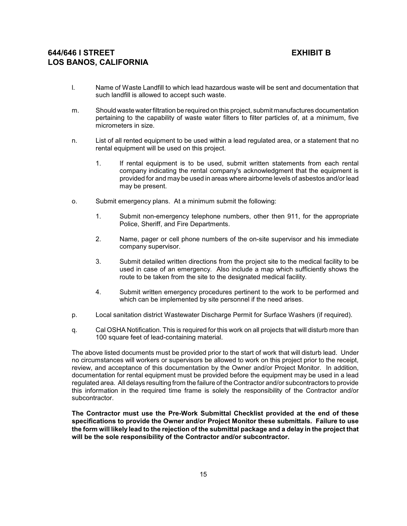- l. Name of Waste Landfill to which lead hazardous waste will be sent and documentation that such landfill is allowed to accept such waste.
- m. Should waste water filtration be required on this project, submit manufactures documentation pertaining to the capability of waste water filters to filter particles of, at a minimum, five micrometers in size.
- n. List of all rented equipment to be used within a lead regulated area, or a statement that no rental equipment will be used on this project.
	- 1. If rental equipment is to be used, submit written statements from each rental company indicating the rental company's acknowledgment that the equipment is provided for and may be used in areas where airborne levels of asbestos and/or lead may be present.
- o. Submit emergency plans. At a minimum submit the following:
	- 1. Submit non-emergency telephone numbers, other then 911, for the appropriate Police, Sheriff, and Fire Departments.
	- 2. Name, pager or cell phone numbers of the on-site supervisor and his immediate company supervisor.
	- 3. Submit detailed written directions from the project site to the medical facility to be used in case of an emergency. Also include a map which sufficiently shows the route to be taken from the site to the designated medical facility.
	- 4. Submit written emergency procedures pertinent to the work to be performed and which can be implemented by site personnel if the need arises.
- p. Local sanitation district Wastewater Discharge Permit for Surface Washers (if required).
- q. Cal OSHA Notification. This is required for this work on all projects that will disturb more than 100 square feet of lead-containing material.

The above listed documents must be provided prior to the start of work that will disturb lead. Under no circumstances will workers or supervisors be allowed to work on this project prior to the receipt, review, and acceptance of this documentation by the Owner and/or Project Monitor. In addition, documentation for rental equipment must be provided before the equipment may be used in a lead regulated area. All delays resulting from the failure of the Contractor and/or subcontractors to provide this information in the required time frame is solely the responsibility of the Contractor and/or subcontractor.

**The Contractor must use the Pre-Work Submittal Checklist provided at the end of these specifications to provide the Owner and/or Project Monitor these submittals. Failure to use the form will likely lead to the rejection of the submittal package and a delay in the project that will be the sole responsibility of the Contractor and/or subcontractor.**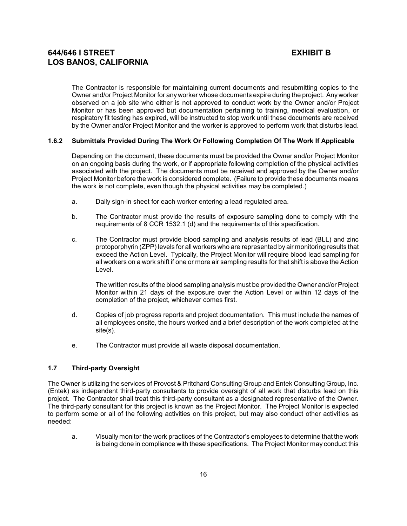The Contractor is responsible for maintaining current documents and resubmitting copies to the Owner and/or Project Monitor for anyworker whose documents expire during the project. Any worker observed on a job site who either is not approved to conduct work by the Owner and/or Project Monitor or has been approved but documentation pertaining to training, medical evaluation, or respiratory fit testing has expired, will be instructed to stop work until these documents are received by the Owner and/or Project Monitor and the worker is approved to perform work that disturbs lead.

### **1.6.2 Submittals Provided During The Work Or Following Completion Of The Work If Applicable**

Depending on the document, these documents must be provided the Owner and/or Project Monitor on an ongoing basis during the work, or if appropriate following completion of the physical activities associated with the project. The documents must be received and approved by the Owner and/or Project Monitor before the work is considered complete. (Failure to provide these documents means the work is not complete, even though the physical activities may be completed.)

- a. Daily sign-in sheet for each worker entering a lead regulated area.
- b. The Contractor must provide the results of exposure sampling done to comply with the requirements of 8 CCR 1532.1 (d) and the requirements of this specification.
- c. The Contractor must provide blood sampling and analysis results of lead (BLL) and zinc protoporphyrin (ZPP) levels for all workers who are represented by air monitoring results that exceed the Action Level. Typically, the Project Monitor will require blood lead sampling for all workers on a work shift if one or more air sampling results for that shift is above the Action Level.

The written results of the blood sampling analysis must be provided the Owner and/or Project Monitor within 21 days of the exposure over the Action Level or within 12 days of the completion of the project, whichever comes first.

- d. Copies of job progress reports and project documentation. This must include the names of all employees onsite, the hours worked and a brief description of the work completed at the site(s).
- e. The Contractor must provide all waste disposal documentation.

#### **1.7 Third-party Oversight**

The Owner is utilizing the services of Provost & Pritchard Consulting Group and Entek Consulting Group, Inc. (Entek) as independent third-party consultants to provide oversight of all work that disturbs lead on this project. The Contractor shall treat this third-party consultant as a designated representative of the Owner. The third-party consultant for this project is known as the Project Monitor. The Project Monitor is expected to perform some or all of the following activities on this project, but may also conduct other activities as needed:

a. Visually monitor the work practices of the Contractor's employees to determine that the work is being done in compliance with these specifications. The Project Monitor may conduct this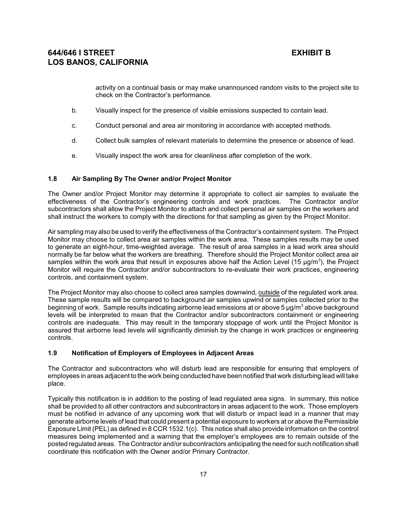activity on a continual basis or may make unannounced random visits to the project site to check on the Contractor's performance.

- b. Visually inspect for the presence of visible emissions suspected to contain lead.
- c. Conduct personal and area air monitoring in accordance with accepted methods.
- d. Collect bulk samples of relevant materials to determine the presence or absence of lead.
- e. Visually inspect the work area for cleanliness after completion of the work.

### **1.8 Air Sampling By The Owner and/or Project Monitor**

The Owner and/or Project Monitor may determine it appropriate to collect air samples to evaluate the effectiveness of the Contractor's engineering controls and work practices. The Contractor and/or subcontractors shall allow the Project Monitor to attach and collect personal air samples on the workers and shall instruct the workers to comply with the directions for that sampling as given by the Project Monitor.

Air sampling mayalso be used to verify the effectiveness of the Contractor's containment system. The Project Monitor may choose to collect area air samples within the work area. These samples results may be used to generate an eight-hour, time-weighted average. The result of area samples in a lead work area should normally be far below what the workers are breathing. Therefore should the Project Monitor collect area air samples within the work area that result in exposures above half the Action Level (15  $\mu$ g/m<sup>3</sup>), the Project Monitor will require the Contractor and/or subcontractors to re-evaluate their work practices, engineering controls, and containment system.

The Project Monitor may also choose to collect area samples downwind, outside of the regulated work area. These sample results will be compared to background air samples upwind or samples collected prior to the beginning of work. Sample results indicating airborne lead emissions at or above 5  $\mu$ g/m $^3$  above background levels will be interpreted to mean that the Contractor and/or subcontractors containment or engineering controls are inadequate. This may result in the temporary stoppage of work until the Project Monitor is assured that airborne lead levels will significantly diminish by the change in work practices or engineering controls.

#### **1.9 Notification of Employers of Employees in Adjacent Areas**

The Contractor and subcontractors who will disturb lead are responsible for ensuring that employers of employees in areas adjacent to the work being conducted have been notified that work disturbing lead will take place.

Typically this notification is in addition to the posting of lead regulated area signs. In summary, this notice shall be provided to all other contractors and subcontractors in areas adjacent to the work. Those employers must be notified in advance of any upcoming work that will disturb or impact lead in a manner that may generate airborne levels of lead that could present a potential exposure to workers at or above the Permissible Exposure Limit (PEL) as defined in 8 CCR 1532.1(c). This notice shall also provide information on the control measures being implemented and a warning that the employer's employees are to remain outside of the posted regulated areas. The Contractor and/or subcontractors anticipating the need for such notification shall coordinate this notification with the Owner and/or Primary Contractor.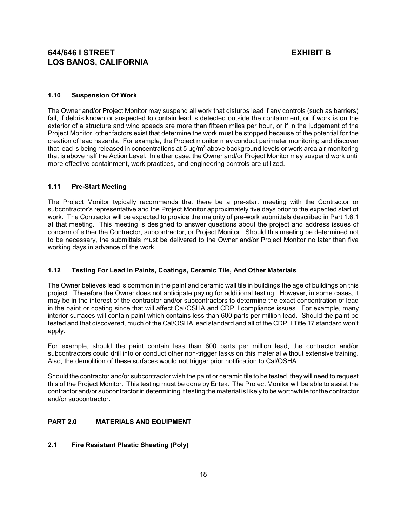## **1.10 Suspension Of Work**

The Owner and/or Project Monitor may suspend all work that disturbs lead if any controls (such as barriers) fail, if debris known or suspected to contain lead is detected outside the containment, or if work is on the exterior of a structure and wind speeds are more than fifteen miles per hour, or if in the judgement of the Project Monitor, other factors exist that determine the work must be stopped because of the potential for the creation of lead hazards. For example, the Project monitor may conduct perimeter monitoring and discover that lead is being released in concentrations at 5  $\mu$ g/m $^3$  above background levels or work area air monitoring that is above half the Action Level. In either case, the Owner and/or Project Monitor may suspend work until more effective containment, work practices, and engineering controls are utilized.

## **1.11 Pre-Start Meeting**

The Project Monitor typically recommends that there be a pre-start meeting with the Contractor or subcontractor's representative and the Project Monitor approximately five days prior to the expected start of work. The Contractor will be expected to provide the majority of pre-work submittals described in Part 1.6.1 at that meeting. This meeting is designed to answer questions about the project and address issues of concern of either the Contractor, subcontractor, or Project Monitor. Should this meeting be determined not to be necessary, the submittals must be delivered to the Owner and/or Project Monitor no later than five working days in advance of the work.

## **1.12 Testing For Lead In Paints, Coatings, Ceramic Tile, And Other Materials**

The Owner believes lead is common in the paint and ceramic wall tile in buildings the age of buildings on this project. Therefore the Owner does not anticipate paying for additional testing. However, in some cases, it may be in the interest of the contractor and/or subcontractors to determine the exact concentration of lead in the paint or coating since that will affect Cal/OSHA and CDPH compliance issues. For example, many interior surfaces will contain paint which contains less than 600 parts per million lead. Should the paint be tested and that discovered, much of the Cal/OSHA lead standard and all of the CDPH Title 17 standard won't apply.

For example, should the paint contain less than 600 parts per million lead, the contractor and/or subcontractors could drill into or conduct other non-trigger tasks on this material without extensive training. Also, the demolition of these surfaces would not trigger prior notification to Cal/OSHA.

Should the contractor and/or subcontractor wish the paint or ceramic tile to be tested, they will need to request this of the Project Monitor. This testing must be done by Entek. The Project Monitor will be able to assist the contractor and/or subcontractor in determining if testing the material is likely to be worthwhile for the contractor and/or subcontractor.

## **PART 2.0 MATERIALS AND EQUIPMENT**

## **2.1 Fire Resistant Plastic Sheeting (Poly)**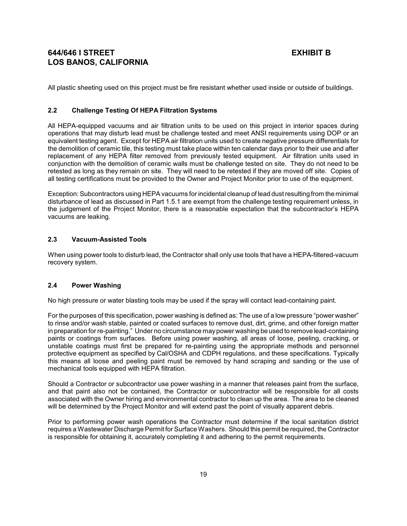All plastic sheeting used on this project must be fire resistant whether used inside or outside of buildings.

### **2.2 Challenge Testing Of HEPA Filtration Systems**

All HEPA-equipped vacuums and air filtration units to be used on this project in interior spaces during operations that may disturb lead must be challenge tested and meet ANSI requirements using DOP or an equivalent testing agent. Except for HEPA air filtration units used to create negative pressure differentials for the demolition of ceramic tile, this testing must take place within ten calendar days prior to their use and after replacement of any HEPA filter removed from previously tested equipment. Air filtration units used in conjunction with the demolition of ceramic walls must be challenge tested on site. They do not need to be retested as long as they remain on site. They will need to be retested if they are moved off site. Copies of all testing certifications must be provided to the Owner and Project Monitor prior to use of the equipment.

Exception: Subcontractors using HEPA vacuums for incidental cleanup of lead dust resulting from the minimal disturbance of lead as discussed in Part 1.5.1 are exempt from the challenge testing requirement unless, in the judgement of the Project Monitor, there is a reasonable expectation that the subcontractor's HEPA vacuums are leaking.

### **2.3 Vacuum-Assisted Tools**

When using power tools to disturb lead, the Contractor shall only use tools that have a HEPA-filtered-vacuum recovery system.

### **2.4 Power Washing**

No high pressure or water blasting tools may be used if the spray will contact lead-containing paint.

For the purposes of this specification, power washing is defined as: The use of a low pressure "power washer" to rinse and/or wash stable, painted or coated surfaces to remove dust, dirt, grime, and other foreign matter in preparation for re-painting." Under no circumstance maypower washing be used to remove lead-containing paints or coatings from surfaces. Before using power washing, all areas of loose, peeling, cracking, or unstable coatings must first be prepared for re-painting using the appropriate methods and personnel protective equipment as specified by Cal/OSHA and CDPH regulations, and these specifications. Typically this means all loose and peeling paint must be removed by hand scraping and sanding or the use of mechanical tools equipped with HEPA filtration.

Should a Contractor or subcontractor use power washing in a manner that releases paint from the surface, and that paint also not be contained, the Contractor or subcontractor will be responsible for all costs associated with the Owner hiring and environmental contractor to clean up the area. The area to be cleaned will be determined by the Project Monitor and will extend past the point of visually apparent debris.

Prior to performing power wash operations the Contractor must determine if the local sanitation district requires a Wastewater Discharge Permit for Surface Washers. Should this permit be required, the Contractor is responsible for obtaining it, accurately completing it and adhering to the permit requirements.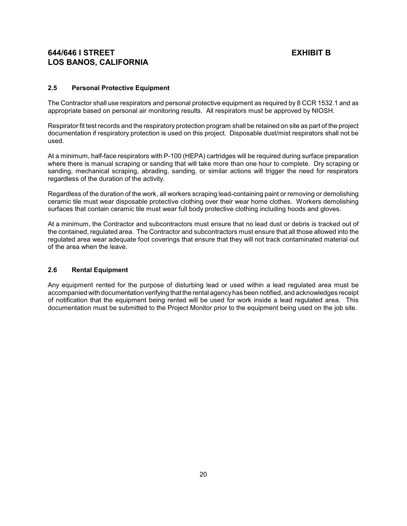## **2.5 Personal Protective Equipment**

The Contractor shall use respirators and personal protective equipment as required by 8 CCR 1532.1 and as appropriate based on personal air monitoring results. All respirators must be approved by NIOSH.

Respirator fit test records and the respiratory protection program shall be retained on site as part of the project documentation if respiratory protection is used on this project. Disposable dust/mist respirators shall not be used.

At a minimum, half-face respirators with P-100 (HEPA) cartridges will be required during surface preparation where there is manual scraping or sanding that will take more than one hour to complete. Dry scraping or sanding, mechanical scraping, abrading, sanding, or similar actions will trigger the need for respirators regardless of the duration of the activity.

Regardless of the duration of the work, all workers scraping lead-containing paint or removing or demolishing ceramic tile must wear disposable protective clothing over their wear home clothes. Workers demolishing surfaces that contain ceramic tile must wear full body protective clothing including hoods and gloves.

At a minimum, the Contractor and subcontractors must ensure that no lead dust or debris is tracked out of the contained, regulated area. The Contractor and subcontractors must ensure that all those allowed into the regulated area wear adequate foot coverings that ensure that they will not track contaminated material out of the area when the leave.

## **2.6 Rental Equipment**

Any equipment rented for the purpose of disturbing lead or used within a lead regulated area must be accompanied with documentation verifying that the rental agencyhas been notified, and acknowledges receipt of notification that the equipment being rented will be used for work inside a lead regulated area. This documentation must be submitted to the Project Monitor prior to the equipment being used on the job site.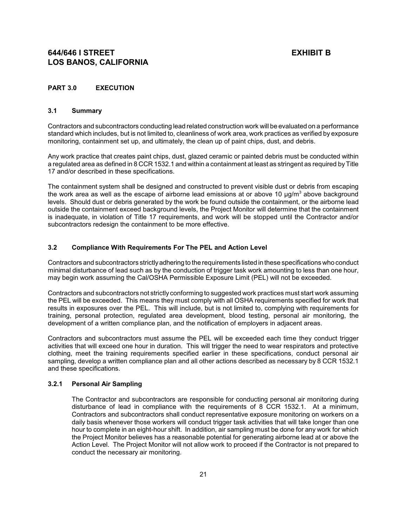## **PART 3.0 EXECUTION**

### **3.1 Summary**

Contractors and subcontractors conducting lead related construction work will be evaluated on a performance standard which includes, but is not limited to, cleanliness of work area, work practices as verified by exposure monitoring, containment set up, and ultimately, the clean up of paint chips, dust, and debris.

Any work practice that creates paint chips, dust, glazed ceramic or painted debris must be conducted within a regulated area as defined in 8 CCR 1532.1 and within a containment at least as stringent as required by Title 17 and/or described in these specifications.

The containment system shall be designed and constructed to prevent visible dust or debris from escaping the work area as well as the escape of airborne lead emissions at or above 10  $\mu$ g/m<sup>3</sup> above background levels. Should dust or debris generated by the work be found outside the containment, or the airborne lead outside the containment exceed background levels, the Project Monitor will determine that the containment is inadequate, in violation of Title 17 requirements, and work will be stopped until the Contractor and/or subcontractors redesign the containment to be more effective.

### **3.2 Compliance With Requirements For The PEL and Action Level**

Contractors and subcontractors strictlyadhering to the requirements listed in these specifications who conduct minimal disturbance of lead such as by the conduction of trigger task work amounting to less than one hour, may begin work assuming the Cal/OSHA Permissible Exposure Limit (PEL) will not be exceeded.

Contractors and subcontractors not strictly conforming to suggested work practices must start work assuming the PEL will be exceeded. This means they must comply with all OSHA requirements specified for work that results in exposures over the PEL. This will include, but is not limited to, complying with requirements for training, personal protection, regulated area development, blood testing, personal air monitoring, the development of a written compliance plan, and the notification of employers in adjacent areas.

Contractors and subcontractors must assume the PEL will be exceeded each time they conduct trigger activities that will exceed one hour in duration. This will trigger the need to wear respirators and protective clothing, meet the training requirements specified earlier in these specifications, conduct personal air sampling, develop a written compliance plan and all other actions described as necessary by 8 CCR 1532.1 and these specifications.

### **3.2.1 Personal Air Sampling**

The Contractor and subcontractors are responsible for conducting personal air monitoring during disturbance of lead in compliance with the requirements of 8 CCR 1532.1. At a minimum, Contractors and subcontractors shall conduct representative exposure monitoring on workers on a daily basis whenever those workers will conduct trigger task activities that will take longer than one hour to complete in an eight-hour shift. In addition, air sampling must be done for any work for which the Project Monitor believes has a reasonable potential for generating airborne lead at or above the Action Level. The Project Monitor will not allow work to proceed if the Contractor is not prepared to conduct the necessary air monitoring.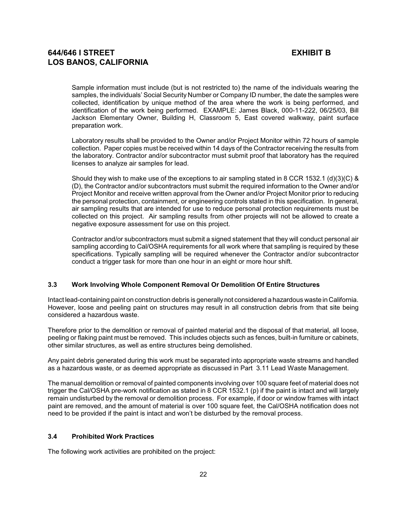Sample information must include (but is not restricted to) the name of the individuals wearing the samples, the individuals' Social Security Number or Company ID number, the date the samples were collected, identification by unique method of the area where the work is being performed, and identification of the work being performed. EXAMPLE: James Black, 000-11-222, 06/25/03, Bill Jackson Elementary Owner, Building H, Classroom 5, East covered walkway, paint surface preparation work.

Laboratory results shall be provided to the Owner and/or Project Monitor within 72 hours of sample collection. Paper copies must be received within 14 days of the Contractor receiving the results from the laboratory. Contractor and/or subcontractor must submit proof that laboratory has the required licenses to analyze air samples for lead.

Should they wish to make use of the exceptions to air sampling stated in 8 CCR 1532.1 (d)(3)(C) & (D), the Contractor and/or subcontractors must submit the required information to the Owner and/or Project Monitor and receive written approval from the Owner and/or Project Monitor prior to reducing the personal protection, containment, or engineering controls stated in this specification. In general, air sampling results that are intended for use to reduce personal protection requirements must be collected on this project. Air sampling results from other projects will not be allowed to create a negative exposure assessment for use on this project.

Contractor and/or subcontractors must submit a signed statement that they will conduct personal air sampling according to Cal/OSHA requirements for all work where that sampling is required by these specifications. Typically sampling will be required whenever the Contractor and/or subcontractor conduct a trigger task for more than one hour in an eight or more hour shift.

## **3.3 Work Involving Whole Component Removal Or Demolition Of Entire Structures**

Intact lead-containing paint on construction debris is generallynot considered a hazardous waste in California. However, loose and peeling paint on structures may result in all construction debris from that site being considered a hazardous waste.

Therefore prior to the demolition or removal of painted material and the disposal of that material, all loose, peeling or flaking paint must be removed. This includes objects such as fences, built-in furniture or cabinets, other similar structures, as well as entire structures being demolished.

Any paint debris generated during this work must be separated into appropriate waste streams and handled as a hazardous waste, or as deemed appropriate as discussed in Part 3.11 Lead Waste Management.

The manual demolition or removal of painted components involving over 100 square feet of material does not trigger the Cal/OSHA pre-work notification as stated in 8 CCR 1532.1 (p) if the paint is intact and will largely remain undisturbed by the removal or demolition process. For example, if door or window frames with intact paint are removed, and the amount of material is over 100 square feet, the Cal/OSHA notification does not need to be provided if the paint is intact and won't be disturbed by the removal process.

### **3.4 Prohibited Work Practices**

The following work activities are prohibited on the project: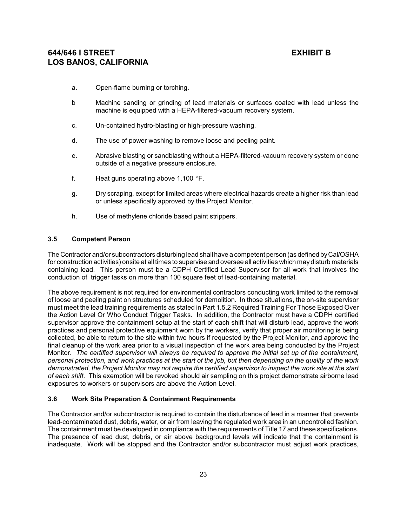- a. Open-flame burning or torching.
- b Machine sanding or grinding of lead materials or surfaces coated with lead unless the machine is equipped with a HEPA-filtered-vacuum recovery system.
- c. Un-contained hydro-blasting or high-pressure washing.
- d. The use of power washing to remove loose and peeling paint.
- e. Abrasive blasting or sandblasting without a HEPA-filtered-vacuum recovery system or done outside of a negative pressure enclosure.
- f. Heat guns operating above  $1,100$  °F.
- g. Dry scraping, except for limited areas where electrical hazards create a higher risk than lead or unless specifically approved by the Project Monitor.
- h. Use of methylene chloride based paint strippers.

## **3.5 Competent Person**

The Contractor and/or subcontractors disturbing lead shall have a competent person (as defined byCal/OSHA for construction activities) onsite at all times to supervise and oversee all activities which maydisturb materials containing lead. This person must be a CDPH Certified Lead Supervisor for all work that involves the conduction of trigger tasks on more than 100 square feet of lead-containing material.

The above requirement is not required for environmental contractors conducting work limited to the removal of loose and peeling paint on structures scheduled for demolition. In those situations, the on-site supervisor must meet the lead training requirements as stated in Part 1.5.2 Required Training For Those Exposed Over the Action Level Or Who Conduct Trigger Tasks. In addition, the Contractor must have a CDPH certified supervisor approve the containment setup at the start of each shift that will disturb lead, approve the work practices and personal protective equipment worn by the workers, verify that proper air monitoring is being collected, be able to return to the site within two hours if requested by the Project Monitor, and approve the final cleanup of the work area prior to a visual inspection of the work area being conducted by the Project Monitor. *The certified supervisor will always be required to approve the initial set up of the containment, personal protection, and work practices at the start of the job, but then depending on the quality of the work demonstrated, the Project Monitor may not require the certified supervisor to inspect the work site at the start of each shift.* This exemption will be revoked should air sampling on this project demonstrate airborne lead exposures to workers or supervisors are above the Action Level.

## **3.6 Work Site Preparation & Containment Requirements**

The Contractor and/or subcontractor is required to contain the disturbance of lead in a manner that prevents lead-contaminated dust, debris, water, or air from leaving the regulated work area in an uncontrolled fashion. The containment must be developed in compliance with the requirements of Title 17 and these specifications. The presence of lead dust, debris, or air above background levels will indicate that the containment is inadequate. Work will be stopped and the Contractor and/or subcontractor must adjust work practices,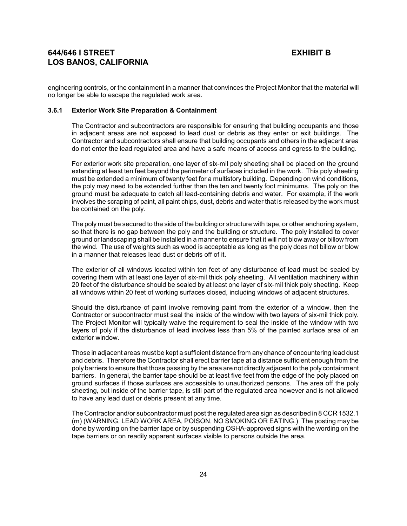engineering controls, or the containment in a manner that convinces the Project Monitor that the material will no longer be able to escape the regulated work area.

#### **3.6.1 Exterior Work Site Preparation & Containment**

The Contractor and subcontractors are responsible for ensuring that building occupants and those in adjacent areas are not exposed to lead dust or debris as they enter or exit buildings. The Contractor and subcontractors shall ensure that building occupants and others in the adjacent area do not enter the lead regulated area and have a safe means of access and egress to the building.

For exterior work site preparation, one layer of six-mil poly sheeting shall be placed on the ground extending at least ten feet beyond the perimeter of surfaces included in the work. This poly sheeting must be extended a minimum of twenty feet for a multistory building. Depending on wind conditions, the poly may need to be extended further than the ten and twenty foot minimums. The poly on the ground must be adequate to catch all lead-containing debris and water. For example, if the work involves the scraping of paint, all paint chips, dust, debris and water that is released by the work must be contained on the poly.

The poly must be secured to the side of the building or structure with tape, or other anchoring system, so that there is no gap between the poly and the building or structure. The poly installed to cover ground or landscaping shall be installed in a manner to ensure that it will not blow away or billow from the wind. The use of weights such as wood is acceptable as long as the poly does not billow or blow in a manner that releases lead dust or debris off of it.

The exterior of all windows located within ten feet of any disturbance of lead must be sealed by covering them with at least one layer of six-mil thick poly sheeting. All ventilation machinery within 20 feet of the disturbance should be sealed by at least one layer of six-mil thick poly sheeting. Keep all windows within 20 feet of working surfaces closed, including windows of adjacent structures.

Should the disturbance of paint involve removing paint from the exterior of a window, then the Contractor or subcontractor must seal the inside of the window with two layers of six-mil thick poly. The Project Monitor will typically waive the requirement to seal the inside of the window with two layers of poly if the disturbance of lead involves less than 5% of the painted surface area of an exterior window.

Those in adjacent areas must be kept a sufficient distance from any chance of encountering lead dust and debris. Therefore the Contractor shall erect barrier tape at a distance sufficient enough from the poly barriers to ensure that those passing by the area are not directly adjacent to the poly containment barriers. In general, the barrier tape should be at least five feet from the edge of the poly placed on ground surfaces if those surfaces are accessible to unauthorized persons. The area off the poly sheeting, but inside of the barrier tape, is still part of the regulated area however and is not allowed to have any lead dust or debris present at any time.

The Contractor and/or subcontractor must post the regulated area sign as described in 8 CCR 1532.1 (m) (WARNING, LEAD WORK AREA, POISON, NO SMOKING OR EATING.) The posting may be done by wording on the barrier tape or by suspending OSHA-approved signs with the wording on the tape barriers or on readily apparent surfaces visible to persons outside the area.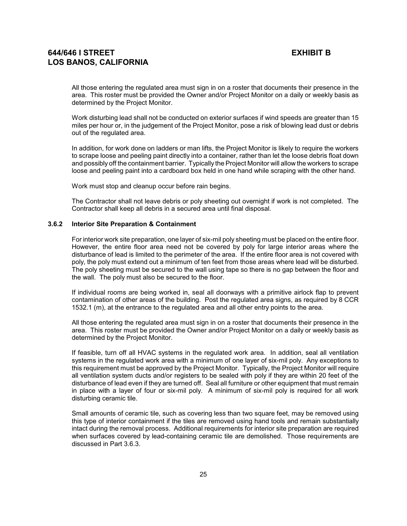All those entering the regulated area must sign in on a roster that documents their presence in the area. This roster must be provided the Owner and/or Project Monitor on a daily or weekly basis as determined by the Project Monitor.

Work disturbing lead shall not be conducted on exterior surfaces if wind speeds are greater than 15 miles per hour or, in the judgement of the Project Monitor, pose a risk of blowing lead dust or debris out of the regulated area.

In addition, for work done on ladders or man lifts, the Project Monitor is likely to require the workers to scrape loose and peeling paint directly into a container, rather than let the loose debris float down and possibly off the containment barrier. Typically the Project Monitor will allow the workers to scrape loose and peeling paint into a cardboard box held in one hand while scraping with the other hand.

Work must stop and cleanup occur before rain begins.

The Contractor shall not leave debris or poly sheeting out overnight if work is not completed. The Contractor shall keep all debris in a secured area until final disposal.

### **3.6.2 Interior Site Preparation & Containment**

For interior work site preparation, one layer of six-mil poly sheeting must be placed on the entire floor. However, the entire floor area need not be covered by poly for large interior areas where the disturbance of lead is limited to the perimeter of the area. If the entire floor area is not covered with poly, the poly must extend out a minimum of ten feet from those areas where lead will be disturbed. The poly sheeting must be secured to the wall using tape so there is no gap between the floor and the wall. The poly must also be secured to the floor.

If individual rooms are being worked in, seal all doorways with a primitive airlock flap to prevent contamination of other areas of the building. Post the regulated area signs, as required by 8 CCR 1532.1 (m), at the entrance to the regulated area and all other entry points to the area.

All those entering the regulated area must sign in on a roster that documents their presence in the area. This roster must be provided the Owner and/or Project Monitor on a daily or weekly basis as determined by the Project Monitor.

If feasible, turn off all HVAC systems in the regulated work area. In addition, seal all ventilation systems in the regulated work area with a minimum of one layer of six-mil poly. Any exceptions to this requirement must be approved by the Project Monitor. Typically, the Project Monitor will require all ventilation system ducts and/or registers to be sealed with poly if they are within 20 feet of the disturbance of lead even if they are turned off. Seal all furniture or other equipment that must remain in place with a layer of four or six-mil poly. A minimum of six-mil poly is required for all work disturbing ceramic tile.

Small amounts of ceramic tile, such as covering less than two square feet, may be removed using this type of interior containment if the tiles are removed using hand tools and remain substantially intact during the removal process. Additional requirements for interior site preparation are required when surfaces covered by lead-containing ceramic tile are demolished. Those requirements are discussed in Part 3.6.3.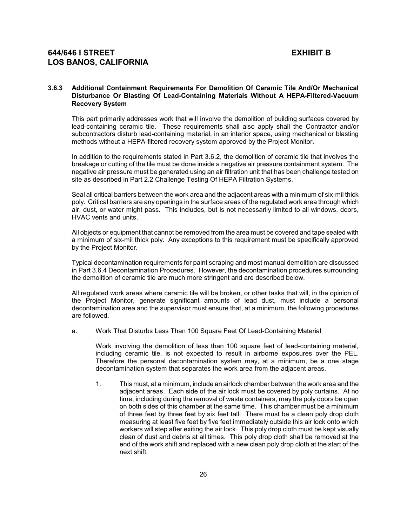### **3.6.3 Additional Containment Requirements For Demolition Of Ceramic Tile And/Or Mechanical Disturbance Or Blasting Of Lead-Containing Materials Without A HEPA-Filtered-Vacuum Recovery System**

This part primarily addresses work that will involve the demolition of building surfaces covered by lead-containing ceramic tile. These requirements shall also apply shall the Contractor and/or subcontractors disturb lead-containing material, in an interior space, using mechanical or blasting methods without a HEPA-filtered recovery system approved by the Project Monitor.

In addition to the requirements stated in Part 3.6.2, the demolition of ceramic tile that involves the breakage or cutting of the tile must be done inside a negative air pressure containment system. The negative air pressure must be generated using an air filtration unit that has been challenge tested on site as described in Part 2.2 Challenge Testing Of HEPA Filtration Systems.

Seal all critical barriers between the work area and the adjacent areas with a minimum of six-mil thick poly. Critical barriers are any openings in the surface areas of the regulated work area through which air, dust, or water might pass. This includes, but is not necessarily limited to all windows, doors, HVAC vents and units.

All objects or equipment that cannot be removed from the area must be covered and tape sealed with a minimum of six-mil thick poly. Any exceptions to this requirement must be specifically approved by the Project Monitor.

Typical decontamination requirements for paint scraping and most manual demolition are discussed in Part 3.6.4 Decontamination Procedures. However, the decontamination procedures surrounding the demolition of ceramic tile are much more stringent and are described below.

All regulated work areas where ceramic tile will be broken, or other tasks that will, in the opinion of the Project Monitor, generate significant amounts of lead dust, must include a personal decontamination area and the supervisor must ensure that, at a minimum, the following procedures are followed.

a. Work That Disturbs Less Than 100 Square Feet Of Lead-Containing Material

Work involving the demolition of less than 100 square feet of lead-containing material, including ceramic tile, is not expected to result in airborne exposures over the PEL. Therefore the personal decontamination system may, at a minimum, be a one stage decontamination system that separates the work area from the adjacent areas.

1. This must, at a minimum, include an airlock chamber between the work area and the adjacent areas. Each side of the air lock must be covered by poly curtains. At no time, including during the removal of waste containers, may the poly doors be open on both sides of this chamber at the same time. This chamber must be a minimum of three feet by three feet by six feet tall. There must be a clean poly drop cloth measuring at least five feet by five feet immediately outside this air lock onto which workers will step after exiting the air lock. This poly drop cloth must be kept visually clean of dust and debris at all times. This poly drop cloth shall be removed at the end of the work shift and replaced with a new clean poly drop cloth at the start of the next shift.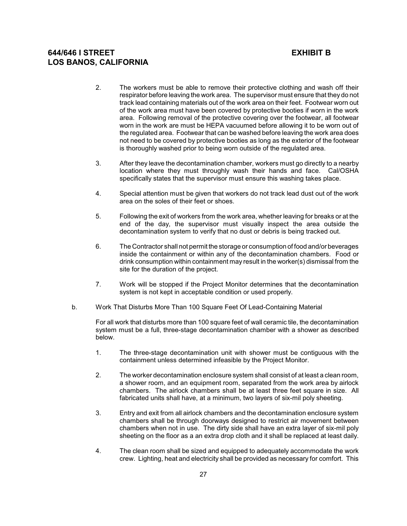- 2. The workers must be able to remove their protective clothing and wash off their respirator before leaving the work area. The supervisor must ensure that they do not track lead containing materials out of the work area on their feet. Footwear worn out of the work area must have been covered by protective booties if worn in the work area. Following removal of the protective covering over the footwear, all footwear worn in the work are must be HEPA vacuumed before allowing it to be worn out of the regulated area. Footwear that can be washed before leaving the work area does not need to be covered by protective booties as long as the exterior of the footwear is thoroughly washed prior to being worn outside of the regulated area.
- 3. After they leave the decontamination chamber, workers must go directly to a nearby location where they must throughly wash their hands and face. Cal/OSHA specifically states that the supervisor must ensure this washing takes place.
- 4. Special attention must be given that workers do not track lead dust out of the work area on the soles of their feet or shoes.
- 5. Following the exit of workers from the work area, whether leaving for breaks or at the end of the day, the supervisor must visually inspect the area outside the decontamination system to verify that no dust or debris is being tracked out.
- 6. The Contractor shall not permit the storage or consumption of food and/or beverages inside the containment or within any of the decontamination chambers. Food or drink consumption within containment may result in the worker(s) dismissal from the site for the duration of the project.
- 7. Work will be stopped if the Project Monitor determines that the decontamination system is not kept in acceptable condition or used properly.
- b. Work That Disturbs More Than 100 Square Feet Of Lead-Containing Material

For all work that disturbs more than 100 square feet of wall ceramic tile, the decontamination system must be a full, three-stage decontamination chamber with a shower as described below.

- 1. The three-stage decontamination unit with shower must be contiguous with the containment unless determined infeasible by the Project Monitor.
- 2. The worker decontamination enclosure system shall consist of at least a clean room, a shower room, and an equipment room, separated from the work area by airlock chambers. The airlock chambers shall be at least three feet square in size. All fabricated units shall have, at a minimum, two layers of six-mil poly sheeting.
- 3. Entry and exit from all airlock chambers and the decontamination enclosure system chambers shall be through doorways designed to restrict air movement between chambers when not in use. The dirty side shall have an extra layer of six-mil poly sheeting on the floor as a an extra drop cloth and it shall be replaced at least daily.
- 4. The clean room shall be sized and equipped to adequately accommodate the work crew. Lighting, heat and electricity shall be provided as necessary for comfort. This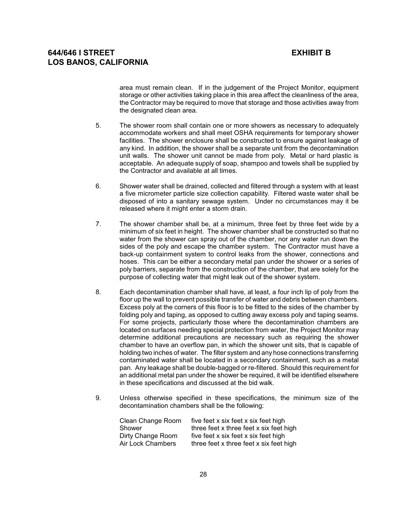area must remain clean. If in the judgement of the Project Monitor, equipment storage or other activities taking place in this area affect the cleanliness of the area, the Contractor may be required to move that storage and those activities away from the designated clean area.

- 5. The shower room shall contain one or more showers as necessary to adequately accommodate workers and shall meet OSHA requirements for temporary shower facilities. The shower enclosure shall be constructed to ensure against leakage of any kind. In addition, the shower shall be a separate unit from the decontamination unit walls. The shower unit cannot be made from poly. Metal or hard plastic is acceptable. An adequate supply of soap, shampoo and towels shall be supplied by the Contractor and available at all times.
- 6. Shower water shall be drained, collected and filtered through a system with at least a five micrometer particle size collection capability. Filtered waste water shall be disposed of into a sanitary sewage system. Under no circumstances may it be released where it might enter a storm drain.
- 7. The shower chamber shall be, at a minimum, three feet by three feet wide by a minimum of six feet in height. The shower chamber shall be constructed so that no water from the shower can spray out of the chamber, nor any water run down the sides of the poly and escape the chamber system. The Contractor must have a back-up containment system to control leaks from the shower, connections and hoses. This can be either a secondary metal pan under the shower or a series of poly barriers, separate from the construction of the chamber, that are solely for the purpose of collecting water that might leak out of the shower system.
- 8. Each decontamination chamber shall have, at least, a four inch lip of poly from the floor up the wall to prevent possible transfer of water and debris between chambers. Excess poly at the corners of this floor is to be fitted to the sides of the chamber by folding poly and taping, as opposed to cutting away excess poly and taping seams. For some projects, particularly those where the decontamination chambers are located on surfaces needing special protection from water, the Project Monitor may determine additional precautions are necessary such as requiring the shower chamber to have an overflow pan, in which the shower unit sits, that is capable of holding two inches of water. The filter system and any hose connections transferring contaminated water shall be located in a secondary containment, such as a metal pan. Any leakage shall be double-bagged or re-filtered. Should this requirement for an additional metal pan under the shower be required, it will be identified elsewhere in these specifications and discussed at the bid walk.
- 9. Unless otherwise specified in these specifications, the minimum size of the decontamination chambers shall be the following:

| five feet x six feet x six feet high    |
|-----------------------------------------|
| three feet x three feet x six feet high |
| five feet x six feet x six feet high    |
| three feet x three feet x six feet high |
|                                         |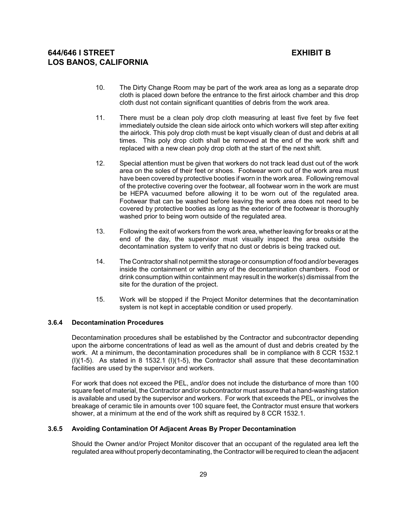- 10. The Dirty Change Room may be part of the work area as long as a separate drop cloth is placed down before the entrance to the first airlock chamber and this drop cloth dust not contain significant quantities of debris from the work area.
- 11. There must be a clean poly drop cloth measuring at least five feet by five feet immediately outside the clean side airlock onto which workers will step after exiting the airlock. This poly drop cloth must be kept visually clean of dust and debris at all times. This poly drop cloth shall be removed at the end of the work shift and replaced with a new clean poly drop cloth at the start of the next shift.
- 12. Special attention must be given that workers do not track lead dust out of the work area on the soles of their feet or shoes. Footwear worn out of the work area must have been covered by protective booties if worn in the work area. Following removal of the protective covering over the footwear, all footwear worn in the work are must be HEPA vacuumed before allowing it to be worn out of the regulated area. Footwear that can be washed before leaving the work area does not need to be covered by protective booties as long as the exterior of the footwear is thoroughly washed prior to being worn outside of the regulated area.
- 13. Following the exit of workers from the work area, whether leaving for breaks or at the end of the day, the supervisor must visually inspect the area outside the decontamination system to verify that no dust or debris is being tracked out.
- 14. The Contractor shall not permit the storage or consumption of food and/or beverages inside the containment or within any of the decontamination chambers. Food or drink consumption within containment may result in the worker(s) dismissal from the site for the duration of the project.
- 15. Work will be stopped if the Project Monitor determines that the decontamination system is not kept in acceptable condition or used properly.

## **3.6.4 Decontamination Procedures**

Decontamination procedures shall be established by the Contractor and subcontractor depending upon the airborne concentrations of lead as well as the amount of dust and debris created by the work. At a minimum, the decontamination procedures shall be in compliance with 8 CCR 1532.1 (I)(1-5). As stated in 8 1532.1 (I)(1-5), the Contractor shall assure that these decontamination facilities are used by the supervisor and workers.

For work that does not exceed the PEL, and/or does not include the disturbance of more than 100 square feet of material, the Contractor and/or subcontractor must assure that a hand-washing station is available and used by the supervisor and workers. For work that exceeds the PEL, or involves the breakage of ceramic tile in amounts over 100 square feet, the Contractor must ensure that workers shower, at a minimum at the end of the work shift as required by 8 CCR 1532.1.

## **3.6.5 Avoiding Contamination Of Adjacent Areas By Proper Decontamination**

Should the Owner and/or Project Monitor discover that an occupant of the regulated area left the regulated area without properly decontaminating, the Contractor will be required to clean the adjacent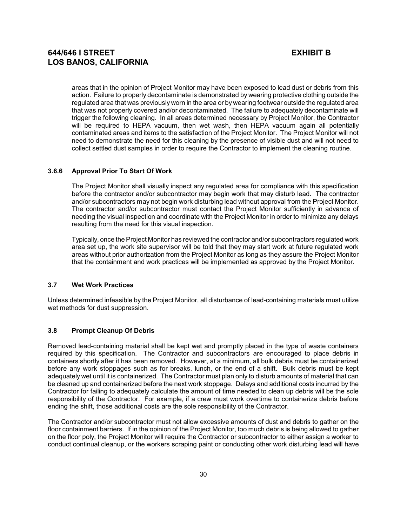areas that in the opinion of Project Monitor may have been exposed to lead dust or debris from this action. Failure to properly decontaminate is demonstrated by wearing protective clothing outside the regulated area that was previously worn in the area or by wearing footwear outside the regulated area that was not properly covered and/or decontaminated. The failure to adequately decontaminate will trigger the following cleaning. In all areas determined necessary by Project Monitor, the Contractor will be required to HEPA vacuum, then wet wash, then HEPA vacuum again all potentially contaminated areas and items to the satisfaction of the Project Monitor. The Project Monitor will not need to demonstrate the need for this cleaning by the presence of visible dust and will not need to collect settled dust samples in order to require the Contractor to implement the cleaning routine.

### **3.6.6 Approval Prior To Start Of Work**

The Project Monitor shall visually inspect any regulated area for compliance with this specification before the contractor and/or subcontractor may begin work that may disturb lead. The contractor and/or subcontractors may not begin work disturbing lead without approval from the Project Monitor. The contractor and/or subcontractor must contact the Project Monitor sufficiently in advance of needing the visual inspection and coordinate with the Project Monitor in order to minimize any delays resulting from the need for this visual inspection.

Typically, once the Project Monitor has reviewed the contractor and/or subcontractors regulated work area set up, the work site supervisor will be told that they may start work at future regulated work areas without prior authorization from the Project Monitor as long as they assure the Project Monitor that the containment and work practices will be implemented as approved by the Project Monitor.

### **3.7 Wet Work Practices**

Unless determined infeasible by the Project Monitor, all disturbance of lead-containing materials must utilize wet methods for dust suppression.

### **3.8 Prompt Cleanup Of Debris**

Removed lead-containing material shall be kept wet and promptly placed in the type of waste containers required by this specification. The Contractor and subcontractors are encouraged to place debris in containers shortly after it has been removed. However, at a minimum, all bulk debris must be containerized before any work stoppages such as for breaks, lunch, or the end of a shift. Bulk debris must be kept adequately wet until it is containerized. The Contractor must plan only to disturb amounts of material that can be cleaned up and containerized before the next work stoppage. Delays and additional costs incurred by the Contractor for failing to adequately calculate the amount of time needed to clean up debris will be the sole responsibility of the Contractor. For example, if a crew must work overtime to containerize debris before ending the shift, those additional costs are the sole responsibility of the Contractor.

The Contractor and/or subcontractor must not allow excessive amounts of dust and debris to gather on the floor containment barriers. If in the opinion of the Project Monitor, too much debris is being allowed to gather on the floor poly, the Project Monitor will require the Contractor or subcontractor to either assign a worker to conduct continual cleanup, or the workers scraping paint or conducting other work disturbing lead will have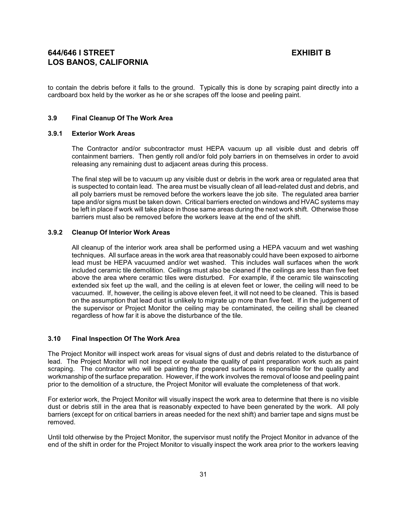to contain the debris before it falls to the ground. Typically this is done by scraping paint directly into a cardboard box held by the worker as he or she scrapes off the loose and peeling paint.

## **3.9 Final Cleanup Of The Work Area**

### **3.9.1 Exterior Work Areas**

The Contractor and/or subcontractor must HEPA vacuum up all visible dust and debris off containment barriers. Then gently roll and/or fold poly barriers in on themselves in order to avoid releasing any remaining dust to adjacent areas during this process.

The final step will be to vacuum up any visible dust or debris in the work area or regulated area that is suspected to contain lead. The area must be visually clean of all lead-related dust and debris, and all poly barriers must be removed before the workers leave the job site. The regulated area barrier tape and/or signs must be taken down. Critical barriers erected on windows and HVAC systems may be left in place if work will take place in those same areas during the next work shift. Otherwise those barriers must also be removed before the workers leave at the end of the shift.

### **3.9.2 Cleanup Of Interior Work Areas**

All cleanup of the interior work area shall be performed using a HEPA vacuum and wet washing techniques. All surface areas in the work area that reasonably could have been exposed to airborne lead must be HEPA vacuumed and/or wet washed. This includes wall surfaces when the work included ceramic tile demolition. Ceilings must also be cleaned if the ceilings are less than five feet above the area where ceramic tiles were disturbed. For example, if the ceramic tile wainscoting extended six feet up the wall, and the ceiling is at eleven feet or lower, the ceiling will need to be vacuumed. If, however, the ceiling is above eleven feet, it will not need to be cleaned. This is based on the assumption that lead dust is unlikely to migrate up more than five feet. If in the judgement of the supervisor or Project Monitor the ceiling may be contaminated, the ceiling shall be cleaned regardless of how far it is above the disturbance of the tile.

### **3.10 Final Inspection Of The Work Area**

The Project Monitor will inspect work areas for visual signs of dust and debris related to the disturbance of lead. The Project Monitor will not inspect or evaluate the quality of paint preparation work such as paint scraping. The contractor who will be painting the prepared surfaces is responsible for the quality and workmanship of the surface preparation. However, if the work involves the removal of loose and peeling paint prior to the demolition of a structure, the Project Monitor will evaluate the completeness of that work.

For exterior work, the Project Monitor will visually inspect the work area to determine that there is no visible dust or debris still in the area that is reasonably expected to have been generated by the work. All poly barriers (except for on critical barriers in areas needed for the next shift) and barrier tape and signs must be removed.

Until told otherwise by the Project Monitor, the supervisor must notify the Project Monitor in advance of the end of the shift in order for the Project Monitor to visually inspect the work area prior to the workers leaving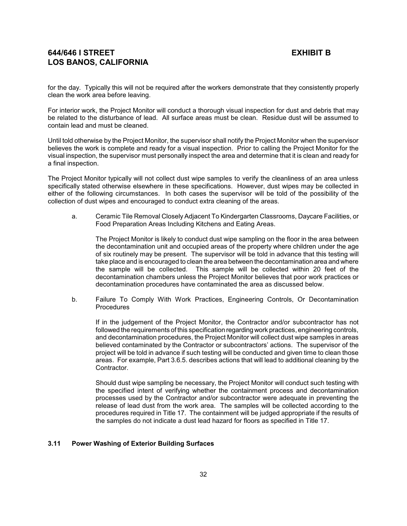for the day. Typically this will not be required after the workers demonstrate that they consistently properly clean the work area before leaving.

For interior work, the Project Monitor will conduct a thorough visual inspection for dust and debris that may be related to the disturbance of lead. All surface areas must be clean. Residue dust will be assumed to contain lead and must be cleaned.

Until told otherwise by the Project Monitor, the supervisor shall notify the Project Monitor when the supervisor believes the work is complete and ready for a visual inspection. Prior to calling the Project Monitor for the visual inspection, the supervisor must personally inspect the area and determine that it is clean and ready for a final inspection.

The Project Monitor typically will not collect dust wipe samples to verify the cleanliness of an area unless specifically stated otherwise elsewhere in these specifications. However, dust wipes may be collected in either of the following circumstances. In both cases the supervisor will be told of the possibility of the collection of dust wipes and encouraged to conduct extra cleaning of the areas.

a. Ceramic Tile Removal Closely Adjacent To Kindergarten Classrooms, Daycare Facilities, or Food Preparation Areas Including Kitchens and Eating Areas.

The Project Monitor is likely to conduct dust wipe sampling on the floor in the area between the decontamination unit and occupied areas of the property where children under the age of six routinely may be present. The supervisor will be told in advance that this testing will take place and is encouraged to clean the area between the decontamination area and where the sample will be collected. This sample will be collected within 20 feet of the decontamination chambers unless the Project Monitor believes that poor work practices or decontamination procedures have contaminated the area as discussed below.

b. Failure To Comply With Work Practices, Engineering Controls, Or Decontamination **Procedures** 

If in the judgement of the Project Monitor, the Contractor and/or subcontractor has not followed the requirements of this specification regarding work practices, engineering controls, and decontamination procedures, the Project Monitor will collect dust wipe samples in areas believed contaminated by the Contractor or subcontractors' actions. The supervisor of the project will be told in advance if such testing will be conducted and given time to clean those areas. For example, Part 3.6.5. describes actions that will lead to additional cleaning by the Contractor.

Should dust wipe sampling be necessary, the Project Monitor will conduct such testing with the specified intent of verifying whether the containment process and decontamination processes used by the Contractor and/or subcontractor were adequate in preventing the release of lead dust from the work area. The samples will be collected according to the procedures required in Title 17. The containment will be judged appropriate if the results of the samples do not indicate a dust lead hazard for floors as specified in Title 17.

### **3.11 Power Washing of Exterior Building Surfaces**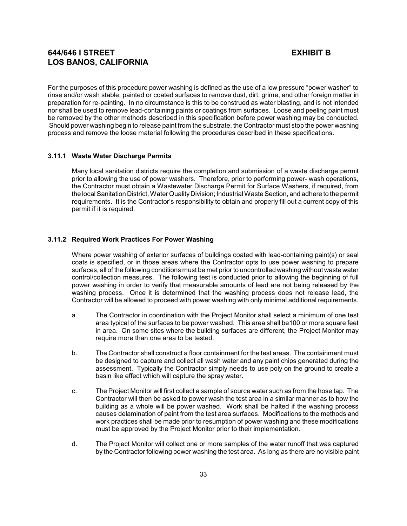For the purposes of this procedure power washing is defined as the use of a low pressure "power washer" to rinse and/or wash stable, painted or coated surfaces to remove dust, dirt, grime, and other foreign matter in preparation for re-painting. In no circumstance is this to be construed as water blasting, and is not intended nor shall be used to remove lead-containing paints or coatings from surfaces. Loose and peeling paint must be removed by the other methods described in this specification before power washing may be conducted. Should power washing begin to release paint from the substrate, the Contractor must stop the power washing process and remove the loose material following the procedures described in these specifications.

### **3.11.1 Waste Water Discharge Permits**

Many local sanitation districts require the completion and submission of a waste discharge permit prior to allowing the use of power washers. Therefore, prior to performing power- wash operations, the Contractor must obtain a Wastewater Discharge Permit for Surface Washers, if required, from the local Sanitation District, Water Quality Division; Industrial Waste Section, and adhere to the permit requirements. It is the Contractor's responsibility to obtain and properly fill out a current copy of this permit if it is required.

### **3.11.2 Required Work Practices For Power Washing**

Where power washing of exterior surfaces of buildings coated with lead-containing paint(s) or seal coats is specified, or in those areas where the Contractor opts to use power washing to prepare surfaces, all of the following conditions must be met prior to uncontrolled washing without waste water control/collection measures. The following test is conducted prior to allowing the beginning of full power washing in order to verify that measurable amounts of lead are not being released by the washing process. Once it is determined that the washing process does not release lead, the Contractor will be allowed to proceed with power washing with only minimal additional requirements.

- a. The Contractor in coordination with the Project Monitor shall select a minimum of one test area typical of the surfaces to be power washed. This area shall be100 or more square feet in area. On some sites where the building surfaces are different, the Project Monitor may require more than one area to be tested.
- b. The Contractor shall construct a floor containment for the test areas. The containment must be designed to capture and collect all wash water and any paint chips generated during the assessment. Typically the Contractor simply needs to use poly on the ground to create a basin like effect which will capture the spray water.
- c. The Project Monitor will first collect a sample of source water such as from the hose tap. The Contractor will then be asked to power wash the test area in a similar manner as to how the building as a whole will be power washed. Work shall be halted if the washing process causes delamination of paint from the test area surfaces. Modifications to the methods and work practices shall be made prior to resumption of power washing and these modifications must be approved by the Project Monitor prior to their implementation.
- d. The Project Monitor will collect one or more samples of the water runoff that was captured by the Contractor following power washing the test area. As long as there are no visible paint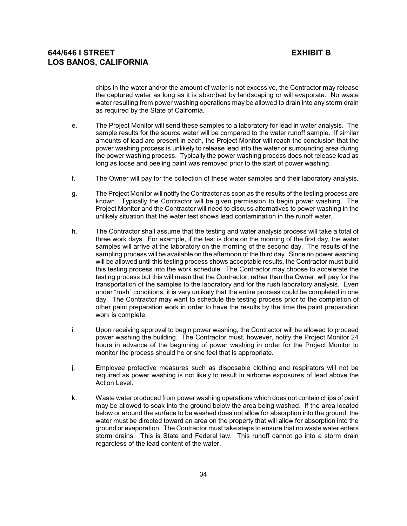chips in the water and/or the amount of water is not excessive, the Contractor may release the captured water as long as it is absorbed by landscaping or will evaporate. No waste water resulting from power washing operations may be allowed to drain into any storm drain as required by the State of California.

- e. The Project Monitor will send these samples to a laboratory for lead in water analysis. The sample results for the source water will be compared to the water runoff sample. If similar amounts of lead are present in each, the Project Monitor will reach the conclusion that the power washing process is unlikely to release lead into the water or surrounding area during the power washing process. Typically the power washing process does not release lead as long as loose and peeling paint was removed prior to the start of power washing.
- f. The Owner will pay for the collection of these water samples and their laboratory analysis.
- g. The Project Monitor will notify the Contractor as soon as the results of the testing process are known. Typically the Contractor will be given permission to begin power washing. The Project Monitor and the Contractor will need to discuss alternatives to power washing in the unlikely situation that the water test shows lead contamination in the runoff water.
- h. The Contractor shall assume that the testing and water analysis process will take a total of three work days. For example, if the test is done on the morning of the first day, the water samples will arrive at the laboratory on the morning of the second day. The results of the sampling process will be available on the afternoon of the third day. Since no power washing will be allowed until this testing process shows acceptable results, the Contractor must build this testing process into the work schedule. The Contractor may choose to accelerate the testing process but this will mean that the Contractor, rather than the Owner, will pay for the transportation of the samples to the laboratory and for the rush laboratory analysis. Even under "rush" conditions, it is very unlikely that the entire process could be completed in one day. The Contractor may want to schedule the testing process prior to the completion of other paint preparation work in order to have the results by the time the paint preparation work is complete.
- i. Upon receiving approval to begin power washing, the Contractor will be allowed to proceed power washing the building. The Contractor must, however, notify the Project Monitor 24 hours in advance of the beginning of power washing in order for the Project Monitor to monitor the process should he or she feel that is appropriate.
- j. Employee protective measures such as disposable clothing and respirators will not be required as power washing is not likely to result in airborne exposures of lead above the Action Level.
- k. Waste water produced from power washing operations which does not contain chips of paint may be allowed to soak into the ground below the area being washed. If the area located below or around the surface to be washed does not allow for absorption into the ground, the water must be directed toward an area on the property that will allow for absorption into the ground or evaporation. The Contractor must take steps to ensure that no waste water enters storm drains. This is State and Federal law. This runoff cannot go into a storm drain regardless of the lead content of the water.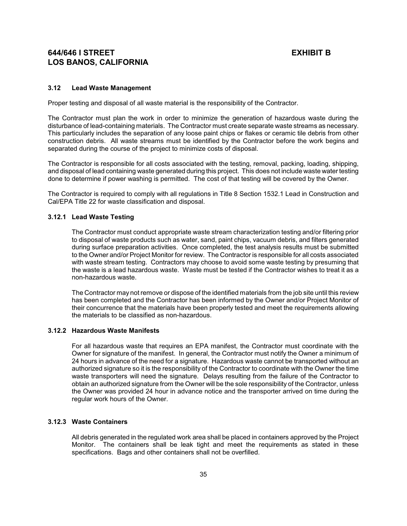#### **3.12 Lead Waste Management**

Proper testing and disposal of all waste material is the responsibility of the Contractor.

The Contractor must plan the work in order to minimize the generation of hazardous waste during the disturbance of lead-containing materials. The Contractor must create separate waste streams as necessary. This particularly includes the separation of any loose paint chips or flakes or ceramic tile debris from other construction debris. All waste streams must be identified by the Contractor before the work begins and separated during the course of the project to minimize costs of disposal.

The Contractor is responsible for all costs associated with the testing, removal, packing, loading, shipping, and disposal of lead containing waste generated during this project. This does not include waste water testing done to determine if power washing is permitted. The cost of that testing will be covered by the Owner.

The Contractor is required to comply with all regulations in Title 8 Section 1532.1 Lead in Construction and Cal/EPA Title 22 for waste classification and disposal.

### **3.12.1 Lead Waste Testing**

The Contractor must conduct appropriate waste stream characterization testing and/or filtering prior to disposal of waste products such as water, sand, paint chips, vacuum debris, and filters generated during surface preparation activities. Once completed, the test analysis results must be submitted to the Owner and/or Project Monitor for review. The Contractor is responsible for all costs associated with waste stream testing. Contractors may choose to avoid some waste testing by presuming that the waste is a lead hazardous waste. Waste must be tested if the Contractor wishes to treat it as a non-hazardous waste.

The Contractor may not remove or dispose of the identified materials from the job site until this review has been completed and the Contractor has been informed by the Owner and/or Project Monitor of their concurrence that the materials have been properly tested and meet the requirements allowing the materials to be classified as non-hazardous.

### **3.12.2 Hazardous Waste Manifests**

For all hazardous waste that requires an EPA manifest, the Contractor must coordinate with the Owner for signature of the manifest. In general, the Contractor must notify the Owner a minimum of 24 hours in advance of the need for a signature. Hazardous waste cannot be transported without an authorized signature so it is the responsibility of the Contractor to coordinate with the Owner the time waste transporters will need the signature. Delays resulting from the failure of the Contractor to obtain an authorized signature from the Owner will be the sole responsibility of the Contractor, unless the Owner was provided 24 hour in advance notice and the transporter arrived on time during the regular work hours of the Owner.

#### **3.12.3 Waste Containers**

All debris generated in the regulated work area shall be placed in containers approved by the Project Monitor. The containers shall be leak tight and meet the requirements as stated in these specifications. Bags and other containers shall not be overfilled.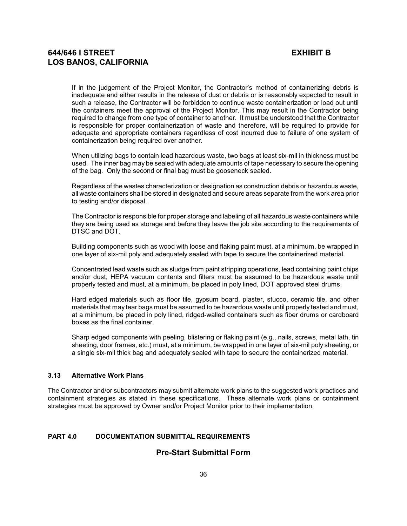If in the judgement of the Project Monitor, the Contractor's method of containerizing debris is inadequate and either results in the release of dust or debris or is reasonably expected to result in such a release, the Contractor will be forbidden to continue waste containerization or load out until the containers meet the approval of the Project Monitor. This may result in the Contractor being required to change from one type of container to another. It must be understood that the Contractor is responsible for proper containerization of waste and therefore, will be required to provide for adequate and appropriate containers regardless of cost incurred due to failure of one system of containerization being required over another.

When utilizing bags to contain lead hazardous waste, two bags at least six-mil in thickness must be used. The inner bag may be sealed with adequate amounts of tape necessary to secure the opening of the bag. Only the second or final bag must be gooseneck sealed.

Regardless of the wastes characterization or designation as construction debris or hazardous waste, all waste containers shall be stored in designated and secure areas separate from the work area prior to testing and/or disposal.

The Contractor is responsible for proper storage and labeling of all hazardous waste containers while they are being used as storage and before they leave the job site according to the requirements of DTSC and DOT.

Building components such as wood with loose and flaking paint must, at a minimum, be wrapped in one layer of six-mil poly and adequately sealed with tape to secure the containerized material.

Concentrated lead waste such as sludge from paint stripping operations, lead containing paint chips and/or dust, HEPA vacuum contents and filters must be assumed to be hazardous waste until properly tested and must, at a minimum, be placed in poly lined, DOT approved steel drums.

Hard edged materials such as floor tile, gypsum board, plaster, stucco, ceramic tile, and other materials that may tear bags must be assumed to be hazardous waste until properly tested and must, at a minimum, be placed in poly lined, ridged-walled containers such as fiber drums or cardboard boxes as the final container.

Sharp edged components with peeling, blistering or flaking paint (e.g., nails, screws, metal lath, tin sheeting, door frames, etc.) must, at a minimum, be wrapped in one layer of six-mil poly sheeting, or a single six-mil thick bag and adequately sealed with tape to secure the containerized material.

#### **3.13 Alternative Work Plans**

The Contractor and/or subcontractors may submit alternate work plans to the suggested work practices and containment strategies as stated in these specifications. These alternate work plans or containment strategies must be approved by Owner and/or Project Monitor prior to their implementation.

### **PART 4.0 DOCUMENTATION SUBMITTAL REQUIREMENTS**

## **Pre-Start Submittal Form**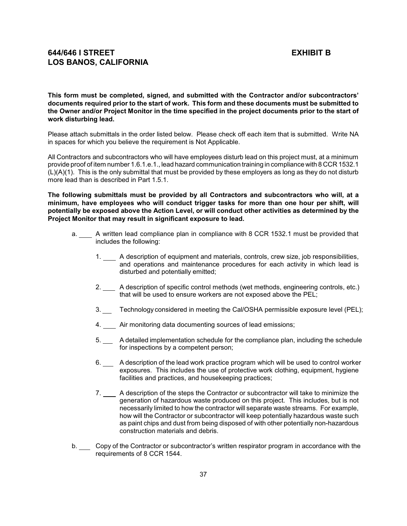**This form must be completed, signed, and submitted with the Contractor and/or subcontractors' documents required prior to the start of work. This form and these documents must be submitted to the Owner and/or Project Monitor in the time specified in the project documents prior to the start of work disturbing lead.**

Please attach submittals in the order listed below. Please check off each item that is submitted. Write NA in spaces for which you believe the requirement is Not Applicable.

All Contractors and subcontractors who will have employees disturb lead on this project must, at a minimum provide proof of item number 1.6.1.e.1., lead hazard communication training in compliance with 8 CCR 1532.1 (L)(A)(1). This is the only submittal that must be provided by these employers as long as they do not disturb more lead than is described in Part 1.5.1.

**The following submittals must be provided by all Contractors and subcontractors who will, at a minimum, have employees who will conduct trigger tasks for more than one hour per shift, will potentially be exposed above the Action Level, or will conduct other activities as determined by the Project Monitor that may result in significant exposure to lead.**

- a. \_\_\_ A written lead compliance plan in compliance with 8 CCR 1532.1 must be provided that includes the following:
	- 1. A description of equipment and materials, controls, crew size, job responsibilities, and operations and maintenance procedures for each activity in which lead is disturbed and potentially emitted;
	- 2. A description of specific control methods (wet methods, engineering controls, etc.) that will be used to ensure workers are not exposed above the PEL;
	- 3. Technology considered in meeting the Cal/OSHA permissible exposure level (PEL);
	- 4. Air monitoring data documenting sources of lead emissions;
	- 5. A detailed implementation schedule for the compliance plan, including the schedule for inspections by a competent person;
	- 6. A description of the lead work practice program which will be used to control worker exposures. This includes the use of protective work clothing, equipment, hygiene facilities and practices, and housekeeping practices;
	- 7. \_\_\_\_ A description of the steps the Contractor or subcontractor will take to minimize the generation of hazardous waste produced on this project. This includes, but is not necessarily limited to how the contractor will separate waste streams. For example, how will the Contractor or subcontractor will keep potentially hazardous waste such as paint chips and dust from being disposed of with other potentially non-hazardous construction materials and debris.
- b. Copy of the Contractor or subcontractor's written respirator program in accordance with the requirements of 8 CCR 1544.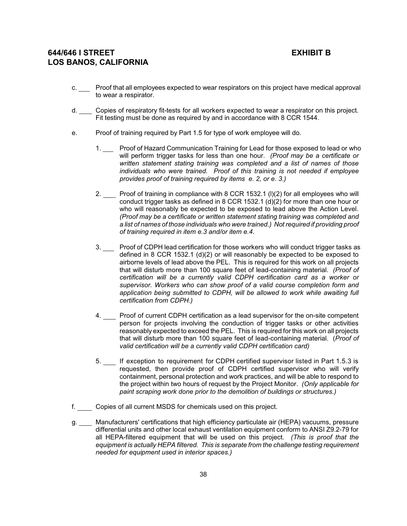- c. \_\_\_ Proof that all employees expected to wear respirators on this project have medical approval to wear a respirator.
- d. Copies of respiratory fit-tests for all workers expected to wear a respirator on this project. Fit testing must be done as required by and in accordance with 8 CCR 1544.
- e. Proof of training required by Part 1.5 for type of work employee will do.
	- 1. Proof of Hazard Communication Training for Lead for those exposed to lead or who will perform trigger tasks for less than one hour. *(Proof may be a certificate or written statement stating training was completed and a list of names of those individuals who were trained. Proof of this training is not needed if employee provides proof of training required by items e. 2, or e. 3.)*
	- 2. Proof of training in compliance with 8 CCR 1532.1 (l)(2) for all employees who will conduct trigger tasks as defined in 8 CCR 1532.1 (d)(2) for more than one hour or who will reasonably be expected to be exposed to lead above the Action Level. *(Proof may be a certificate or written statement stating training was completed and a list of names of those individuals who were trained.) Not required if providing proof of training required in item e.3 and/or item e.4.*
	- 3. Proof of CDPH lead certification for those workers who will conduct trigger tasks as defined in 8 CCR 1532.1 (d)(2) or will reasonably be expected to be exposed to airborne levels of lead above the PEL. This is required for this work on all projects that will disturb more than 100 square feet of lead-containing material. *(Proof of certification will be a currently valid CDPH certification card as a worker or supervisor. Workers who can show proof of a valid course completion form and application being submitted to CDPH, will be allowed to work while awaiting full certification from CDPH.)*
	- 4. Proof of current CDPH certification as a lead supervisor for the on-site competent person for projects involving the conduction of trigger tasks or other activities reasonably expected to exceed the PEL. This is required for this work on all projects that will disturb more than 100 square feet of lead-containing material. (*Proof of valid certification will be a currently valid CDPH certification card)*
	- 5. If exception to requirement for CDPH certified supervisor listed in Part 1.5.3 is requested, then provide proof of CDPH certified supervisor who will verify containment, personal protection and work practices, and will be able to respond to the project within two hours of request by the Project Monitor. *(Only applicable for paint scraping work done prior to the demolition of buildings or structures.)*
- f. Copies of all current MSDS for chemicals used on this project.
- g. Manufacturers' certifications that high efficiency particulate air (HEPA) vacuums, pressure differential units and other local exhaust ventilation equipment conform to ANSI Z9.2-79 for all HEPA-filtered equipment that will be used on this project. *(This is proof that the equipment is actually HEPA filtered. This is separate from the challenge testing requirement needed for equipment used in interior spaces.)*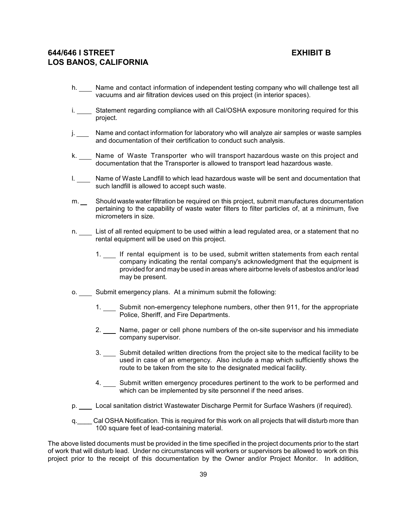- h. \_\_\_ Name and contact information of independent testing company who will challenge test all vacuums and air filtration devices used on this project (in interior spaces).
- i. Statement regarding compliance with all Cal/OSHA exposure monitoring required for this project.
- j. \_\_\_\_ Name and contact information for laboratory who will analyze air samples or waste samples and documentation of their certification to conduct such analysis.
- k. \_\_\_ Name of Waste Transporter who will transport hazardous waste on this project and documentation that the Transporter is allowed to transport lead hazardous waste.
- I. \_\_\_\_ Name of Waste Landfill to which lead hazardous waste will be sent and documentation that such landfill is allowed to accept such waste.
- m. Should waste water filtration be required on this project, submit manufactures documentation pertaining to the capability of waste water filters to filter particles of, at a minimum, five micrometers in size.
- n. \_\_\_ List of all rented equipment to be used within a lead regulated area, or a statement that no rental equipment will be used on this project.
	- 1. If rental equipment is to be used, submit written statements from each rental company indicating the rental company's acknowledgment that the equipment is provided for and may be used in areas where airborne levels of asbestos and/or lead may be present.
- o. Submit emergency plans. At a minimum submit the following:
	- 1. Submit non-emergency telephone numbers, other then 911, for the appropriate Police, Sheriff, and Fire Departments.
	- 2. \_\_\_ Name, pager or cell phone numbers of the on-site supervisor and his immediate company supervisor.
	- 3. Submit detailed written directions from the project site to the medical facility to be used in case of an emergency. Also include a map which sufficiently shows the route to be taken from the site to the designated medical facility.
	- 4. Submit written emergency procedures pertinent to the work to be performed and which can be implemented by site personnel if the need arises.
- p. Local sanitation district Wastewater Discharge Permit for Surface Washers (if required).
- q.\_\_\_\_ Cal OSHA Notification. This is required for this work on all projects that will disturb more than 100 square feet of lead-containing material.

The above listed documents must be provided in the time specified in the project documents prior to the start of work that will disturb lead. Under no circumstances will workers or supervisors be allowed to work on this project prior to the receipt of this documentation by the Owner and/or Project Monitor. In addition,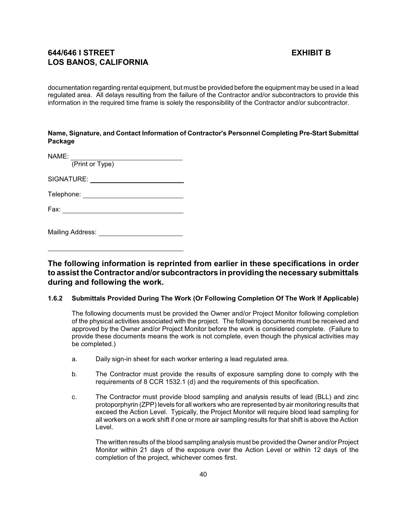documentation regarding rental equipment, but must be provided before the equipment may be used in a lead regulated area. All delays resulting from the failure of the Contractor and/or subcontractors to provide this information in the required time frame is solely the responsibility of the Contractor and/or subcontractor.

## **Name, Signature, and Contact Information of Contractor's Personnel Completing Pre-Start Submittal Package**

NAME: (Print or Type) SIGNATURE: **SIGNATURE:** Telephone: The Contract of Telephone: Fax:

Mailing Address:

**The following information is reprinted from earlier in these specifications in order to assist the Contractor and/or subcontractors in providing the necessary submittals during and following the work.**

## **1.6.2 Submittals Provided During The Work (Or Following Completion Of The Work If Applicable)**

The following documents must be provided the Owner and/or Project Monitor following completion of the physical activities associated with the project. The following documents must be received and approved by the Owner and/or Project Monitor before the work is considered complete. (Failure to provide these documents means the work is not complete, even though the physical activities may be completed.)

- a. Daily sign-in sheet for each worker entering a lead regulated area.
- b. The Contractor must provide the results of exposure sampling done to comply with the requirements of 8 CCR 1532.1 (d) and the requirements of this specification.
- c. The Contractor must provide blood sampling and analysis results of lead (BLL) and zinc protoporphyrin (ZPP) levels for all workers who are represented by air monitoring results that exceed the Action Level. Typically, the Project Monitor will require blood lead sampling for all workers on a work shift if one or more air sampling results for that shift is above the Action Level.

The written results of the blood sampling analysis must be provided the Owner and/or Project Monitor within 21 days of the exposure over the Action Level or within 12 days of the completion of the project, whichever comes first.